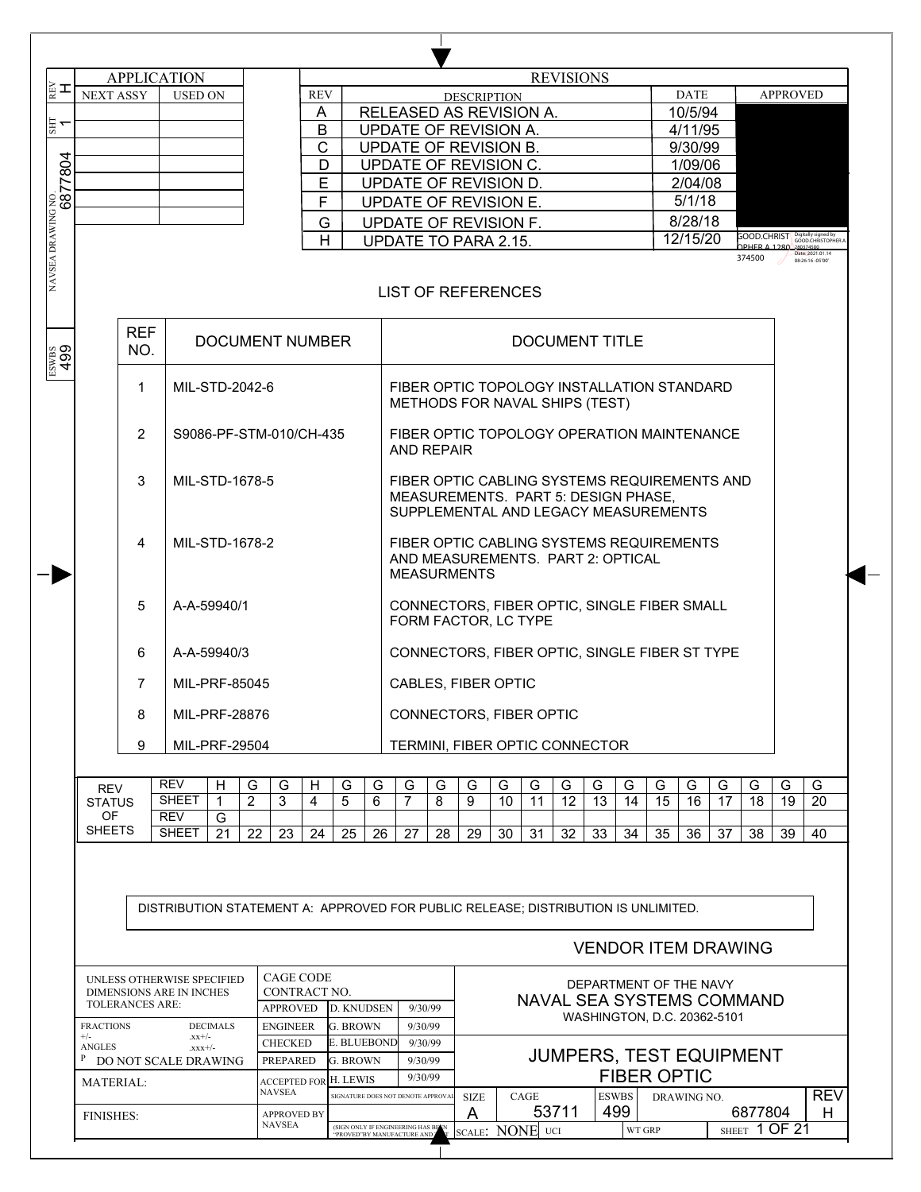| ∦≩ ≖                          |                        | <b>APPLICATION</b>                                            |                               |               |                                  |            |                       |    |                                                                                                                             |    |                    |    |      | <b>REVISIONS</b> |                             |    |                    |             |    |                                                                                                                 |                 |                                                         |  |  |  |  |  |  |  |  |  |
|-------------------------------|------------------------|---------------------------------------------------------------|-------------------------------|---------------|----------------------------------|------------|-----------------------|----|-----------------------------------------------------------------------------------------------------------------------------|----|--------------------|----|------|------------------|-----------------------------|----|--------------------|-------------|----|-----------------------------------------------------------------------------------------------------------------|-----------------|---------------------------------------------------------|--|--|--|--|--|--|--|--|--|
| <b>NEXT ASSY</b>              |                        | <b>USED ON</b>                                                |                               |               |                                  | <b>REV</b> |                       |    |                                                                                                                             |    | <b>DESCRIPTION</b> |    |      |                  |                             |    |                    | <b>DATE</b> |    |                                                                                                                 | <b>APPROVED</b> |                                                         |  |  |  |  |  |  |  |  |  |
|                               |                        |                                                               |                               |               |                                  | A          |                       |    | RELEASED AS REVISION A.                                                                                                     |    |                    |    |      |                  |                             |    |                    | 10/5/94     |    |                                                                                                                 |                 |                                                         |  |  |  |  |  |  |  |  |  |
| $\mathbb{E}$ 1                |                        |                                                               |                               |               |                                  | B          |                       |    | UPDATE OF REVISION A.                                                                                                       |    |                    |    |      |                  |                             |    |                    | 4/11/95     |    |                                                                                                                 |                 |                                                         |  |  |  |  |  |  |  |  |  |
|                               |                        |                                                               |                               |               |                                  | C          |                       |    | UPDATE OF REVISION B.                                                                                                       |    |                    |    |      |                  |                             |    |                    | 9/30/99     |    |                                                                                                                 |                 |                                                         |  |  |  |  |  |  |  |  |  |
|                               |                        |                                                               |                               |               |                                  | D          |                       |    | UPDATE OF REVISION C.                                                                                                       |    |                    |    |      | 1/09/06          |                             |    |                    |             |    |                                                                                                                 |                 |                                                         |  |  |  |  |  |  |  |  |  |
|                               |                        |                                                               |                               |               |                                  | E          |                       |    |                                                                                                                             |    |                    |    |      |                  |                             |    |                    | 2/04/08     |    |                                                                                                                 |                 |                                                         |  |  |  |  |  |  |  |  |  |
|                               |                        |                                                               |                               |               |                                  | F          |                       |    | UPDATE OF REVISION D.<br>UPDATE OF REVISION E.                                                                              |    |                    |    |      | 5/1/18           |                             |    |                    |             |    |                                                                                                                 |                 |                                                         |  |  |  |  |  |  |  |  |  |
|                               |                        |                                                               |                               |               |                                  | G          |                       |    |                                                                                                                             |    |                    |    |      |                  |                             |    |                    | 8/28/18     |    |                                                                                                                 |                 |                                                         |  |  |  |  |  |  |  |  |  |
|                               |                        |                                                               |                               |               |                                  |            |                       |    | UPDATE OF REVISION F.                                                                                                       |    |                    |    |      |                  |                             |    |                    | 12/15/20    |    | Good.Christ                                                                                                     |                 |                                                         |  |  |  |  |  |  |  |  |  |
|                               |                        |                                                               |                               |               |                                  | H          |                       |    | UPDATE TO PARA 2.15.                                                                                                        |    |                    |    |      |                  |                             |    |                    |             |    | 374500                                                                                                          |                 | GOOD.CHRISTOPHER<br>Date: 2021.01.14<br>08:26:16 -05'00 |  |  |  |  |  |  |  |  |  |
| NAVSEA DRAWING NO.<br>6877804 |                        |                                                               |                               |               |                                  |            |                       |    | <b>LIST OF REFERENCES</b>                                                                                                   |    |                    |    |      |                  |                             |    |                    |             |    |                                                                                                                 |                 |                                                         |  |  |  |  |  |  |  |  |  |
| $\frac{1}{499}$               | <b>REF</b><br>NO.      |                                                               |                               |               | <b>DOCUMENT NUMBER</b>           |            |                       |    | <b>DOCUMENT TITLE</b>                                                                                                       |    |                    |    |      |                  |                             |    |                    |             |    |                                                                                                                 |                 |                                                         |  |  |  |  |  |  |  |  |  |
|                               | 1                      | MIL-STD-2042-6                                                |                               |               |                                  |            |                       |    | FIBER OPTIC TOPOLOGY INSTALLATION STANDARD<br>METHODS FOR NAVAL SHIPS (TEST)                                                |    |                    |    |      |                  |                             |    |                    |             |    |                                                                                                                 |                 |                                                         |  |  |  |  |  |  |  |  |  |
|                               | $\overline{2}$         | S9086-PF-STM-010/CH-435                                       |                               |               |                                  |            |                       |    | FIBER OPTIC TOPOLOGY OPERATION MAINTENANCE                                                                                  |    |                    |    |      |                  |                             |    |                    |             |    |                                                                                                                 |                 |                                                         |  |  |  |  |  |  |  |  |  |
|                               |                        |                                                               | MIL-STD-1678-5                |               |                                  |            |                       |    | <b>AND REPAIR</b>                                                                                                           |    |                    |    |      |                  |                             |    |                    |             |    |                                                                                                                 |                 |                                                         |  |  |  |  |  |  |  |  |  |
|                               | 3                      |                                                               | MIL-STD-1678-2<br>A-A-59940/1 |               |                                  |            |                       |    | FIBER OPTIC CABLING SYSTEMS REQUIREMENTS AND<br>MEASUREMENTS. PART 5: DESIGN PHASE,<br>SUPPLEMENTAL AND LEGACY MEASUREMENTS |    |                    |    |      |                  |                             |    |                    |             |    |                                                                                                                 |                 |                                                         |  |  |  |  |  |  |  |  |  |
|                               | 4                      |                                                               |                               |               |                                  |            |                       |    | FIBER OPTIC CABLING SYSTEMS REQUIREMENTS<br>AND MEASUREMENTS. PART 2: OPTICAL<br><b>MEASURMENTS</b>                         |    |                    |    |      |                  |                             |    |                    |             |    |                                                                                                                 |                 |                                                         |  |  |  |  |  |  |  |  |  |
|                               | 5                      |                                                               |                               |               |                                  |            |                       |    | CONNECTORS, FIBER OPTIC, SINGLE FIBER SMALL<br>FORM FACTOR, LC TYPE                                                         |    |                    |    |      |                  |                             |    |                    |             |    |                                                                                                                 |                 |                                                         |  |  |  |  |  |  |  |  |  |
|                               | 6                      | A-A-59940/3                                                   |                               |               |                                  |            |                       |    | CONNECTORS, FIBER OPTIC, SINGLE FIBER ST TYPE                                                                               |    |                    |    |      |                  |                             |    |                    |             |    |                                                                                                                 |                 |                                                         |  |  |  |  |  |  |  |  |  |
|                               | $\overline{7}$         | MIL-PRF-85045                                                 |                               |               |                                  |            |                       |    | CABLES, FIBER OPTIC                                                                                                         |    |                    |    |      |                  |                             |    |                    |             |    |                                                                                                                 |                 |                                                         |  |  |  |  |  |  |  |  |  |
|                               | 8                      | MIL-PRF-28876                                                 |                               |               |                                  |            |                       |    | CONNECTORS, FIBER OPTIC<br>TERMINI, FIBER OPTIC CONNECTOR                                                                   |    |                    |    |      |                  |                             |    |                    |             |    |                                                                                                                 |                 |                                                         |  |  |  |  |  |  |  |  |  |
|                               | 9                      | MIL-PRF-29504                                                 |                               |               |                                  |            |                       |    |                                                                                                                             |    |                    |    |      |                  |                             |    |                    |             |    |                                                                                                                 |                 |                                                         |  |  |  |  |  |  |  |  |  |
| REV                           |                        | <b>REV</b>                                                    | н                             | G             | G                                | H          | G                     | G  | G                                                                                                                           | G  | G                  | G  | G    | G                | G                           | G  | G                  | G           | G  | G                                                                                                               | G               | G                                                       |  |  |  |  |  |  |  |  |  |
| <b>STATUS</b>                 |                        | <b>SHEET</b>                                                  | 1                             | $\mathcal{P}$ | 3                                | 4          | 5                     | 6  | 7                                                                                                                           | 8  | 9                  | 10 | 11   | 12               | 13                          | 14 | 15                 | 16          | 17 | 18                                                                                                              | 19              | 20                                                      |  |  |  |  |  |  |  |  |  |
| OF<br><b>SHEETS</b>           |                        | <b>REV</b>                                                    | G                             |               |                                  |            |                       |    |                                                                                                                             |    |                    |    |      |                  |                             |    |                    |             |    |                                                                                                                 |                 |                                                         |  |  |  |  |  |  |  |  |  |
|                               |                        | <b>SHEET</b>                                                  | 21                            | 22            | 23                               | 24         | 25                    | 26 | 27                                                                                                                          | 28 | 29                 | 30 | 31   | 32               | 33                          | 34 | 35                 | 36          | 37 | 38                                                                                                              | 39              | 40                                                      |  |  |  |  |  |  |  |  |  |
|                               |                        |                                                               |                               |               |                                  |            |                       |    |                                                                                                                             |    |                    |    |      |                  |                             |    |                    |             |    |                                                                                                                 |                 |                                                         |  |  |  |  |  |  |  |  |  |
|                               |                        |                                                               |                               |               |                                  |            |                       |    |                                                                                                                             |    |                    |    |      |                  |                             |    |                    |             |    | DISTRIBUTION STATEMENT A: APPROVED FOR PUBLIC RELEASE; DISTRIBUTION IS UNLIMITED.<br><b>VENDOR ITEM DRAWING</b> |                 |                                                         |  |  |  |  |  |  |  |  |  |
|                               |                        |                                                               |                               |               |                                  |            |                       |    |                                                                                                                             |    |                    |    |      |                  |                             |    |                    |             |    |                                                                                                                 |                 |                                                         |  |  |  |  |  |  |  |  |  |
|                               |                        | UNLESS OTHERWISE SPECIFIED<br><b>DIMENSIONS ARE IN INCHES</b> |                               |               | <b>CAGE CODE</b><br>CONTRACT NO. |            |                       |    |                                                                                                                             |    |                    |    |      |                  | DEPARTMENT OF THE NAVY      |    |                    |             |    |                                                                                                                 |                 |                                                         |  |  |  |  |  |  |  |  |  |
|                               | <b>TOLERANCES ARE:</b> |                                                               |                               |               | <b>APPROVED</b>                  |            | <b>D. KNUDSEN</b>     |    | 9/30/99                                                                                                                     |    |                    |    |      |                  |                             |    |                    |             |    | NAVAL SEA SYSTEMS COMMAND                                                                                       |                 |                                                         |  |  |  |  |  |  |  |  |  |
| <b>FRACTIONS</b>              |                        |                                                               | <b>DECIMALS</b>               |               | <b>ENGINEER</b>                  |            | <b>G. BROWN</b>       |    | 9/30/99                                                                                                                     |    |                    |    |      |                  | WASHINGTON, D.C. 20362-5101 |    |                    |             |    |                                                                                                                 |                 |                                                         |  |  |  |  |  |  |  |  |  |
| $+/-$                         |                        | $-12x + (-1)$                                                 |                               |               | <b>CHECKED</b>                   |            | E. BLUEBOND           |    | 9/30/99                                                                                                                     |    |                    |    |      |                  |                             |    |                    |             |    |                                                                                                                 |                 |                                                         |  |  |  |  |  |  |  |  |  |
| <b>ANGLES</b><br>P            |                        | $xxx+/-$                                                      |                               |               | PREPARED                         |            | <b>G. BROWN</b>       |    | 9/30/99                                                                                                                     |    |                    |    |      |                  |                             |    |                    |             |    | <b>JUMPERS, TEST EQUIPMENT</b>                                                                                  |                 |                                                         |  |  |  |  |  |  |  |  |  |
|                               |                        | DO NOT SCALE DRAWING                                          |                               |               |                                  |            |                       |    | 9/30/99                                                                                                                     |    |                    |    |      |                  |                             |    |                    |             |    |                                                                                                                 |                 |                                                         |  |  |  |  |  |  |  |  |  |
| MATERIAL:                     |                        |                                                               |                               |               | <b>NAVSEA</b>                    |            | ACCEPTED FOR H. LEWIS |    |                                                                                                                             |    |                    |    |      |                  |                             |    | <b>FIBER OPTIC</b> |             |    |                                                                                                                 |                 |                                                         |  |  |  |  |  |  |  |  |  |
| <b>FINISHES:</b>              |                        |                                                               |                               |               | <b>APPROVED BY</b>               |            |                       |    | SIGNATURE DOES NOT DENOTE APPROVA                                                                                           |    | <b>SIZE</b><br>A   |    | CAGE | 53711            | <b>ESWBS</b><br>499         |    |                    | DRAWING NO. |    | 6877804                                                                                                         |                 | <b>REV</b><br>H                                         |  |  |  |  |  |  |  |  |  |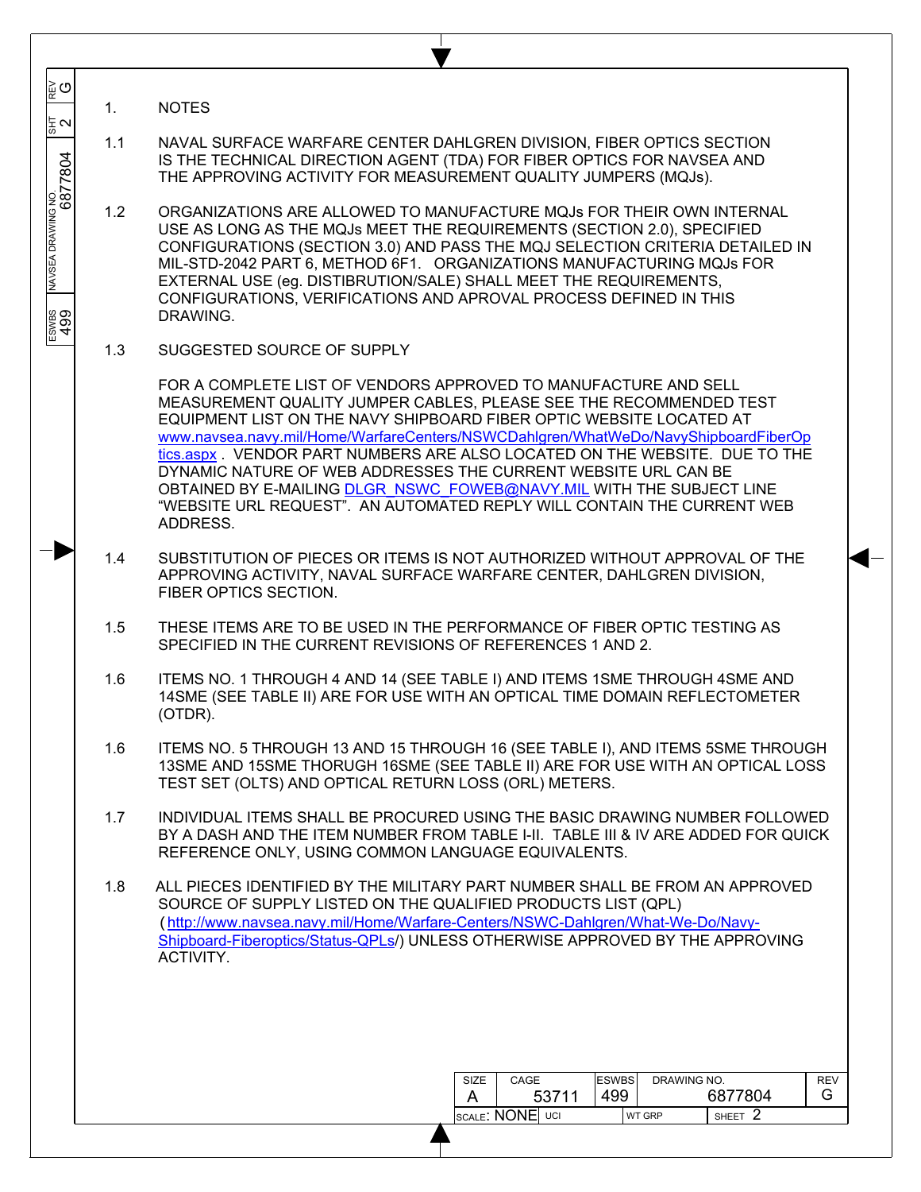| ∥⊵ຼື ⊙                                              |     |                                                                                                                                                                                                                                                                                                                                                                                                                                                                                                                                                                                                                   |
|-----------------------------------------------------|-----|-------------------------------------------------------------------------------------------------------------------------------------------------------------------------------------------------------------------------------------------------------------------------------------------------------------------------------------------------------------------------------------------------------------------------------------------------------------------------------------------------------------------------------------------------------------------------------------------------------------------|
| 동지                                                  | 1.  | <b>NOTES</b>                                                                                                                                                                                                                                                                                                                                                                                                                                                                                                                                                                                                      |
|                                                     | 1.1 | NAVAL SURFACE WARFARE CENTER DAHLGREN DIVISION, FIBER OPTICS SECTION<br>IS THE TECHNICAL DIRECTION AGENT (TDA) FOR FIBER OPTICS FOR NAVSEA AND<br>THE APPROVING ACTIVITY FOR MEASUREMENT QUALITY JUMPERS (MQJs).                                                                                                                                                                                                                                                                                                                                                                                                  |
| NAVSEA DRAWNG NO.<br><b>6877804</b><br>ESWBS<br>499 | 1.2 | ORGANIZATIONS ARE ALLOWED TO MANUFACTURE MQJs FOR THEIR OWN INTERNAL<br>USE AS LONG AS THE MQJs MEET THE REQUIREMENTS (SECTION 2.0), SPECIFIED<br>CONFIGURATIONS (SECTION 3.0) AND PASS THE MQJ SELECTION CRITERIA DETAILED IN<br>MIL-STD-2042 PART 6, METHOD 6F1. ORGANIZATIONS MANUFACTURING MQJs FOR<br>EXTERNAL USE (eg. DISTIBRUTION/SALE) SHALL MEET THE REQUIREMENTS,<br>CONFIGURATIONS, VERIFICATIONS AND APROVAL PROCESS DEFINED IN THIS<br>DRAWING.                                                                                                                                                     |
|                                                     | 1.3 | SUGGESTED SOURCE OF SUPPLY                                                                                                                                                                                                                                                                                                                                                                                                                                                                                                                                                                                        |
|                                                     |     | FOR A COMPLETE LIST OF VENDORS APPROVED TO MANUFACTURE AND SELL<br>MEASUREMENT QUALITY JUMPER CABLES, PLEASE SEE THE RECOMMENDED TEST<br>EQUIPMENT LIST ON THE NAVY SHIPBOARD FIBER OPTIC WEBSITE LOCATED AT<br>www.navsea.navy.mil/Home/WarfareCenters/NSWCDahlgren/WhatWeDo/NavyShipboardFiberOp<br>tics.aspx . VENDOR PART NUMBERS ARE ALSO LOCATED ON THE WEBSITE. DUE TO THE<br>DYNAMIC NATURE OF WEB ADDRESSES THE CURRENT WEBSITE URL CAN BE<br>OBTAINED BY E-MAILING DLGR NSWC FOWEB@NAVY.MIL WITH THE SUBJECT LINE<br>"WEBSITE URL REQUEST". AN AUTOMATED REPLY WILL CONTAIN THE CURRENT WEB<br>ADDRESS. |
|                                                     | 1.4 | SUBSTITUTION OF PIECES OR ITEMS IS NOT AUTHORIZED WITHOUT APPROVAL OF THE<br>APPROVING ACTIVITY, NAVAL SURFACE WARFARE CENTER, DAHLGREN DIVISION,<br>FIBER OPTICS SECTION.                                                                                                                                                                                                                                                                                                                                                                                                                                        |
|                                                     | 1.5 | THESE ITEMS ARE TO BE USED IN THE PERFORMANCE OF FIBER OPTIC TESTING AS<br>SPECIFIED IN THE CURRENT REVISIONS OF REFERENCES 1 AND 2.                                                                                                                                                                                                                                                                                                                                                                                                                                                                              |
|                                                     | 1.6 | ITEMS NO. 1 THROUGH 4 AND 14 (SEE TABLE I) AND ITEMS 1SME THROUGH 4SME AND<br>14SME (SEE TABLE II) ARE FOR USE WITH AN OPTICAL TIME DOMAIN REFLECTOMETER<br>(OTDR).                                                                                                                                                                                                                                                                                                                                                                                                                                               |
|                                                     | 1.6 | ITEMS NO. 5 THROUGH 13 AND 15 THROUGH 16 (SEE TABLE I), AND ITEMS 5SME THROUGH<br>13SME AND 15SME THORUGH 16SME (SEE TABLE II) ARE FOR USE WITH AN OPTICAL LOSS<br>TEST SET (OLTS) AND OPTICAL RETURN LOSS (ORL) METERS.                                                                                                                                                                                                                                                                                                                                                                                          |
|                                                     | 1.7 | INDIVIDUAL ITEMS SHALL BE PROCURED USING THE BASIC DRAWING NUMBER FOLLOWED<br>BY A DASH AND THE ITEM NUMBER FROM TABLE I-II. TABLE III & IV ARE ADDED FOR QUICK<br>REFERENCE ONLY, USING COMMON LANGUAGE EQUIVALENTS.                                                                                                                                                                                                                                                                                                                                                                                             |
|                                                     | 1.8 | ALL PIECES IDENTIFIED BY THE MILITARY PART NUMBER SHALL BE FROM AN APPROVED<br>SOURCE OF SUPPLY LISTED ON THE QUALIFIED PRODUCTS LIST (QPL)<br>(http://www.navsea.navy.mil/Home/Warfare-Centers/NSWC-Dahlgren/What-We-Do/Navy-<br>Shipboard-Fiberoptics/Status-QPLs/) UNLESS OTHERWISE APPROVED BY THE APPROVING<br>ACTIVITY.                                                                                                                                                                                                                                                                                     |
|                                                     |     |                                                                                                                                                                                                                                                                                                                                                                                                                                                                                                                                                                                                                   |
|                                                     |     | <b>ESWBS</b><br>DRAWING NO.<br>REV<br>SIZE<br>CAGE<br>6877804<br>53711<br>499<br>G<br>A                                                                                                                                                                                                                                                                                                                                                                                                                                                                                                                           |
|                                                     |     | SHEET 2<br><b>SCALE: NONE</b> UCI<br><b>WT GRP</b>                                                                                                                                                                                                                                                                                                                                                                                                                                                                                                                                                                |
|                                                     |     |                                                                                                                                                                                                                                                                                                                                                                                                                                                                                                                                                                                                                   |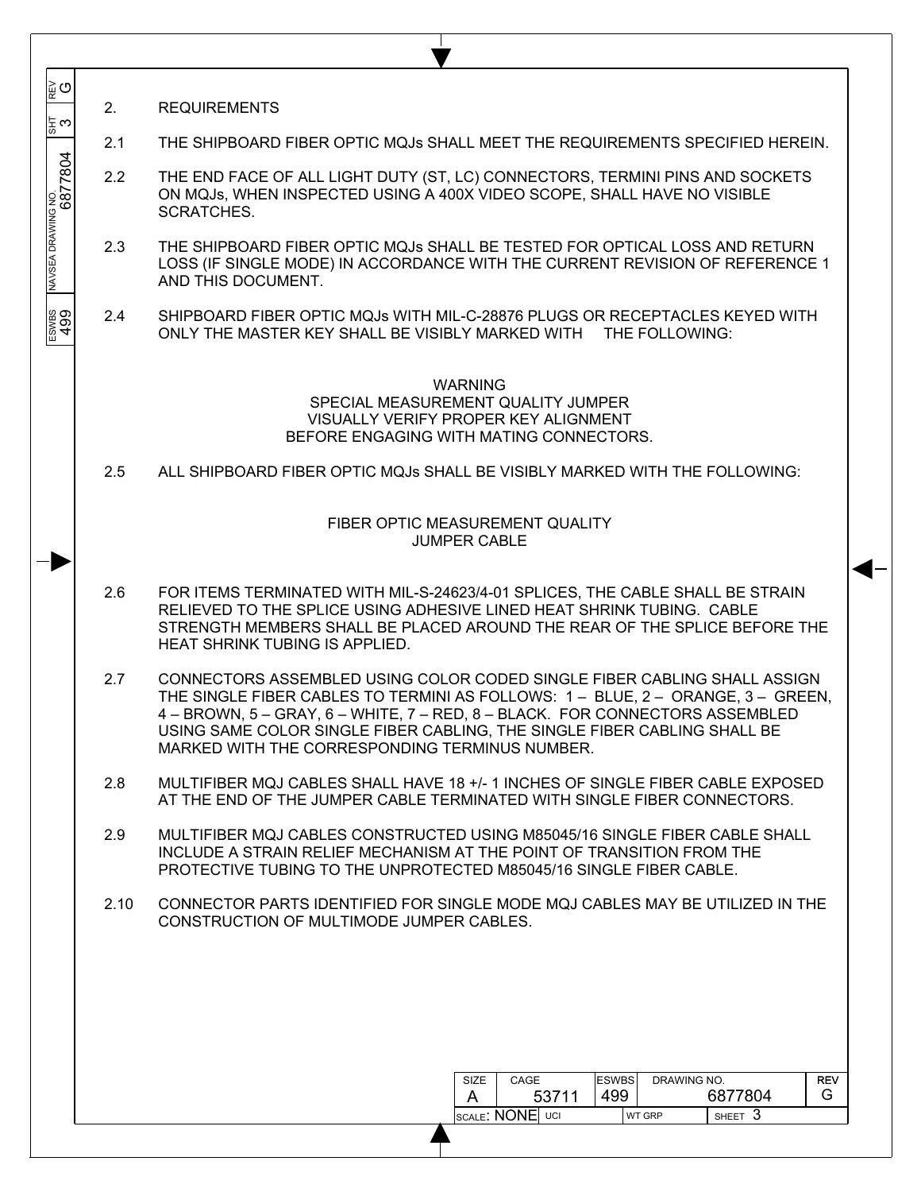| ิ⊯ู่ ⊙                                                                            | 2.            | <b>REQUIREMENTS</b>                                                                                                                                                                                                                                                                                                                                                       |  |  |  |  |  |  |  |  |  |
|-----------------------------------------------------------------------------------|---------------|---------------------------------------------------------------------------------------------------------------------------------------------------------------------------------------------------------------------------------------------------------------------------------------------------------------------------------------------------------------------------|--|--|--|--|--|--|--|--|--|
| ‡ ෆ                                                                               | 2.1           | THE SHIPBOARD FIBER OPTIC MQJs SHALL MEET THE REQUIREMENTS SPECIFIED HEREIN.                                                                                                                                                                                                                                                                                              |  |  |  |  |  |  |  |  |  |
| NAVSEA DRAWING NO.<br>6877804                                                     | 2.2           | THE END FACE OF ALL LIGHT DUTY (ST, LC) CONNECTORS, TERMINI PINS AND SOCKETS<br>ON MQJs, WHEN INSPECTED USING A 400X VIDEO SCOPE, SHALL HAVE NO VISIBLE<br>SCRATCHES.                                                                                                                                                                                                     |  |  |  |  |  |  |  |  |  |
|                                                                                   | 2.3           | THE SHIPBOARD FIBER OPTIC MQJs SHALL BE TESTED FOR OPTICAL LOSS AND RETURN<br>LOSS (IF SINGLE MODE) IN ACCORDANCE WITH THE CURRENT REVISION OF REFERENCE 1<br>AND THIS DOCUMENT.                                                                                                                                                                                          |  |  |  |  |  |  |  |  |  |
| ESWBS<br>499                                                                      | $2.4^{\circ}$ | SHIPBOARD FIBER OPTIC MQJs WITH MIL-C-28876 PLUGS OR RECEPTACLES KEYED WITH<br>ONLY THE MASTER KEY SHALL BE VISIBLY MARKED WITH THE FOLLOWING:                                                                                                                                                                                                                            |  |  |  |  |  |  |  |  |  |
|                                                                                   |               | <b>WARNING</b><br>SPECIAL MEASUREMENT QUALITY JUMPER<br>VISUALLY VERIFY PROPER KEY ALIGNMENT<br>BEFORE ENGAGING WITH MATING CONNECTORS.                                                                                                                                                                                                                                   |  |  |  |  |  |  |  |  |  |
| 2.5<br>ALL SHIPBOARD FIBER OPTIC MQJs SHALL BE VISIBLY MARKED WITH THE FOLLOWING: |               |                                                                                                                                                                                                                                                                                                                                                                           |  |  |  |  |  |  |  |  |  |
|                                                                                   |               | FIBER OPTIC MEASUREMENT QUALITY<br><b>JUMPER CABLE</b>                                                                                                                                                                                                                                                                                                                    |  |  |  |  |  |  |  |  |  |
|                                                                                   | 2.6           | FOR ITEMS TERMINATED WITH MIL-S-24623/4-01 SPLICES, THE CABLE SHALL BE STRAIN<br>RELIEVED TO THE SPLICE USING ADHESIVE LINED HEAT SHRINK TUBING. CABLE<br>STRENGTH MEMBERS SHALL BE PLACED AROUND THE REAR OF THE SPLICE BEFORE THE<br><b>HEAT SHRINK TUBING IS APPLIED.</b>                                                                                              |  |  |  |  |  |  |  |  |  |
|                                                                                   | 2.7           | CONNECTORS ASSEMBLED USING COLOR CODED SINGLE FIBER CABLING SHALL ASSIGN<br>THE SINGLE FIBER CABLES TO TERMINI AS FOLLOWS: 1 - BLUE, 2 - ORANGE, 3 - GREEN,<br>4 - BROWN, 5 - GRAY, 6 - WHITE, 7 - RED, 8 - BLACK. FOR CONNECTORS ASSEMBLED<br>USING SAME COLOR SINGLE FIBER CABLING, THE SINGLE FIBER CABLING SHALL BE<br>MARKED WITH THE CORRESPONDING TERMINUS NUMBER. |  |  |  |  |  |  |  |  |  |
|                                                                                   | 2.8           | MULTIFIBER MQJ CABLES SHALL HAVE 18 +/- 1 INCHES OF SINGLE FIBER CABLE EXPOSED<br>AT THE END OF THE JUMPER CABLE TERMINATED WITH SINGLE FIBER CONNECTORS.                                                                                                                                                                                                                 |  |  |  |  |  |  |  |  |  |
|                                                                                   | 2.9           | MULTIFIBER MQJ CABLES CONSTRUCTED USING M85045/16 SINGLE FIBER CABLE SHALL<br>INCLUDE A STRAIN RELIEF MECHANISM AT THE POINT OF TRANSITION FROM THE<br>PROTECTIVE TUBING TO THE UNPROTECTED M85045/16 SINGLE FIBER CABLE.                                                                                                                                                 |  |  |  |  |  |  |  |  |  |
|                                                                                   | 2.10          | CONNECTOR PARTS IDENTIFIED FOR SINGLE MODE MQJ CABLES MAY BE UTILIZED IN THE<br>CONSTRUCTION OF MULTIMODE JUMPER CABLES.                                                                                                                                                                                                                                                  |  |  |  |  |  |  |  |  |  |
|                                                                                   |               |                                                                                                                                                                                                                                                                                                                                                                           |  |  |  |  |  |  |  |  |  |
|                                                                                   |               |                                                                                                                                                                                                                                                                                                                                                                           |  |  |  |  |  |  |  |  |  |
|                                                                                   |               | <b>ESWBS</b><br>DRAWING NO.<br><b>REV</b><br>SIZE<br>CAGE<br>499<br>6877804<br>G.<br>A<br>53711                                                                                                                                                                                                                                                                           |  |  |  |  |  |  |  |  |  |
|                                                                                   |               | SCALE: NONE UCI<br>SHEET 3<br>WT GRP                                                                                                                                                                                                                                                                                                                                      |  |  |  |  |  |  |  |  |  |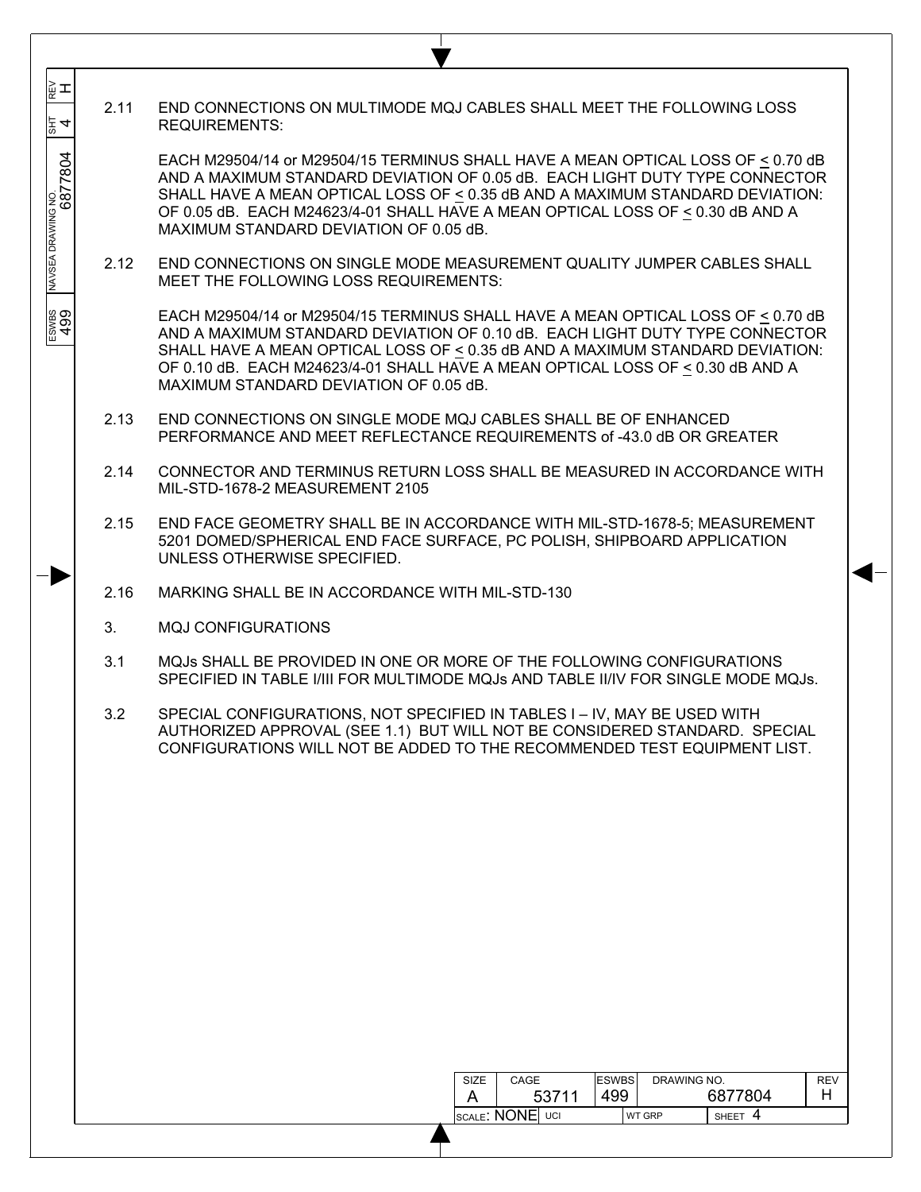| ᇣᆂ<br>$\frac{3}{4}$           | 2.11 | END CONNECTIONS ON MULTIMODE MQJ CABLES SHALL MEET THE FOLLOWING LOSS<br><b>REQUIREMENTS:</b>                                                                                                                                                                                                                                                                                     |
|-------------------------------|------|-----------------------------------------------------------------------------------------------------------------------------------------------------------------------------------------------------------------------------------------------------------------------------------------------------------------------------------------------------------------------------------|
| NAVSEA DRAWING NO.<br>6877804 |      | EACH M29504/14 or M29504/15 TERMINUS SHALL HAVE A MEAN OPTICAL LOSS OF < 0.70 dB<br>AND A MAXIMUM STANDARD DEVIATION OF 0.05 dB. EACH LIGHT DUTY TYPE CONNECTOR<br>SHALL HAVE A MEAN OPTICAL LOSS OF $\leq$ 0.35 dB AND A MAXIMUM STANDARD DEVIATION:<br>OF 0.05 dB. EACH M24623/4-01 SHALL HAVE A MEAN OPTICAL LOSS OF < 0.30 dB AND A<br>MAXIMUM STANDARD DEVIATION OF 0.05 dB. |
|                               | 2.12 | END CONNECTIONS ON SINGLE MODE MEASUREMENT QUALITY JUMPER CABLES SHALL<br>MEET THE FOLLOWING LOSS REQUIREMENTS:                                                                                                                                                                                                                                                                   |
| ESWBS<br>499                  |      | EACH M29504/14 or M29504/15 TERMINUS SHALL HAVE A MEAN OPTICAL LOSS OF $\leq$ 0.70 dB<br>AND A MAXIMUM STANDARD DEVIATION OF 0.10 dB. EACH LIGHT DUTY TYPE CONNECTOR<br>SHALL HAVE A MEAN OPTICAL LOSS OF < 0.35 dB AND A MAXIMUM STANDARD DEVIATION:<br>OF 0.10 dB. EACH M24623/4-01 SHALL HAVE A MEAN OPTICAL LOSS OF < 0.30 dB AND A<br>MAXIMUM STANDARD DEVIATION OF 0.05 dB. |
|                               | 2.13 | END CONNECTIONS ON SINGLE MODE MQJ CABLES SHALL BE OF ENHANCED<br>PERFORMANCE AND MEET REFLECTANCE REQUIREMENTS of -43.0 dB OR GREATER                                                                                                                                                                                                                                            |
|                               | 2.14 | CONNECTOR AND TERMINUS RETURN LOSS SHALL BE MEASURED IN ACCORDANCE WITH<br>MIL-STD-1678-2 MEASUREMENT 2105                                                                                                                                                                                                                                                                        |
|                               | 2.15 | END FACE GEOMETRY SHALL BE IN ACCORDANCE WITH MIL-STD-1678-5; MEASUREMENT<br>5201 DOMED/SPHERICAL END FACE SURFACE, PC POLISH, SHIPBOARD APPLICATION<br>UNLESS OTHERWISE SPECIFIED.                                                                                                                                                                                               |
|                               | 2.16 | MARKING SHALL BE IN ACCORDANCE WITH MIL-STD-130                                                                                                                                                                                                                                                                                                                                   |
|                               | 3.   | <b>MQJ CONFIGURATIONS</b>                                                                                                                                                                                                                                                                                                                                                         |
|                               | 3.1  | MQJs SHALL BE PROVIDED IN ONE OR MORE OF THE FOLLOWING CONFIGURATIONS<br>SPECIFIED IN TABLE I/III FOR MULTIMODE MQJs AND TABLE II/IV FOR SINGLE MODE MQJs.                                                                                                                                                                                                                        |
|                               | 3.2  | SPECIAL CONFIGURATIONS, NOT SPECIFIED IN TABLES I - IV, MAY BE USED WITH<br>AUTHORIZED APPROVAL (SEE 1.1) BUT WILL NOT BE CONSIDERED STANDARD. SPECIAL<br>CONFIGURATIONS WILL NOT BE ADDED TO THE RECOMMENDED TEST EQUIPMENT LIST.                                                                                                                                                |
|                               |      |                                                                                                                                                                                                                                                                                                                                                                                   |
|                               |      |                                                                                                                                                                                                                                                                                                                                                                                   |
|                               |      |                                                                                                                                                                                                                                                                                                                                                                                   |
|                               |      |                                                                                                                                                                                                                                                                                                                                                                                   |
|                               |      |                                                                                                                                                                                                                                                                                                                                                                                   |
|                               |      |                                                                                                                                                                                                                                                                                                                                                                                   |
|                               |      | <b>ESWBS</b><br>DRAWING NO.<br>SIZE<br>CAGE<br><b>REV</b><br>499<br>53711<br>6877804<br>H.<br>A                                                                                                                                                                                                                                                                                   |
|                               |      | SCALE: NONE UCI<br>SHEET 4<br>WT GRP                                                                                                                                                                                                                                                                                                                                              |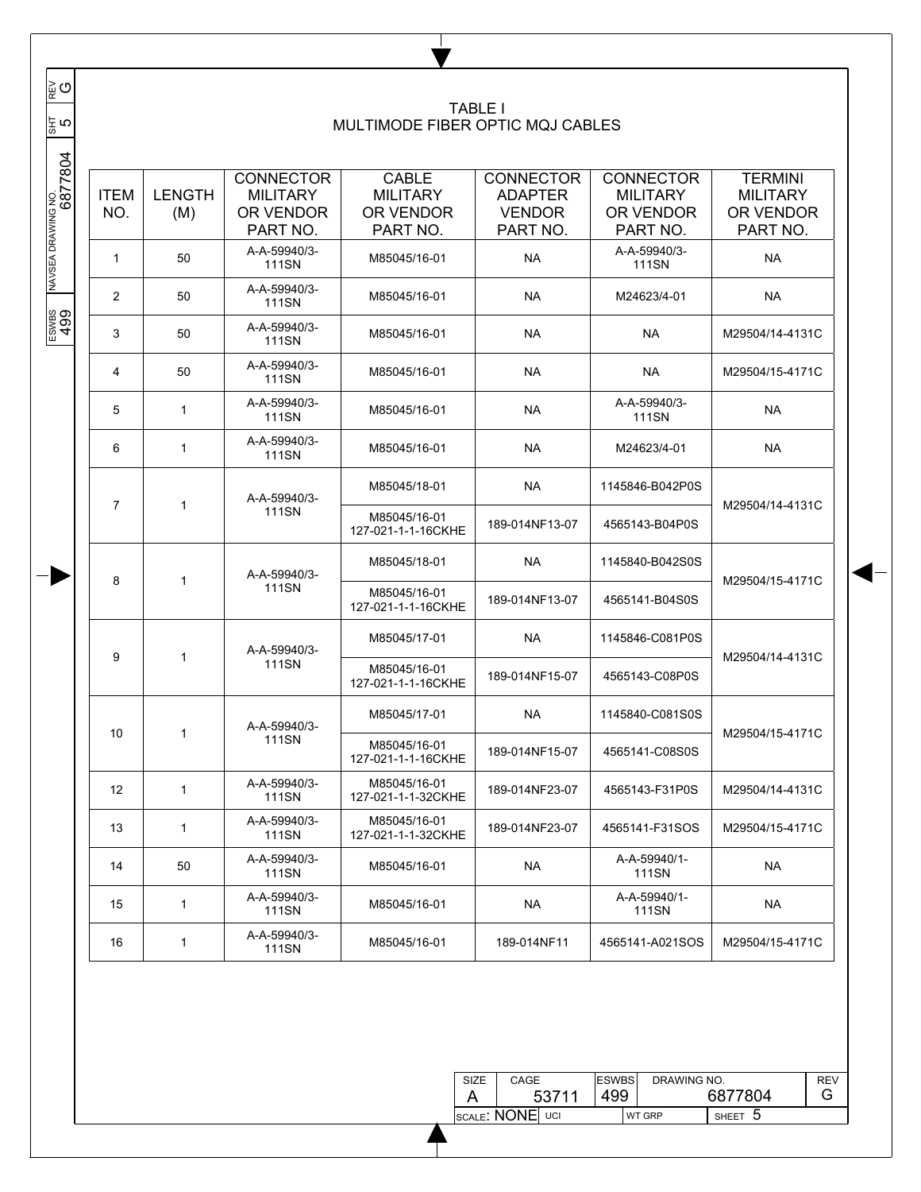| ∥⊵ຼ ⊙                       |                                                   |                                   |                                                              |                                                          | <b>TABLE I</b>                                                  |                                                              |                                                            |  |
|-----------------------------|---------------------------------------------------|-----------------------------------|--------------------------------------------------------------|----------------------------------------------------------|-----------------------------------------------------------------|--------------------------------------------------------------|------------------------------------------------------------|--|
| $\frac{5}{118}$             |                                                   |                                   |                                                              | MULTIMODE FIBER OPTIC MQJ CABLES                         |                                                                 |                                                              |                                                            |  |
| NAVSEA DRAWING NO.<br> <br> | <b>ITEM</b><br>NO.                                | <b>LENGTH</b><br>(M)              | <b>CONNECTOR</b><br><b>MILITARY</b><br>OR VENDOR<br>PART NO. | <b>CABLE</b><br><b>MILITARY</b><br>OR VENDOR<br>PART NO. | <b>CONNECTOR</b><br><b>ADAPTER</b><br><b>VENDOR</b><br>PART NO. | <b>CONNECTOR</b><br><b>MILITARY</b><br>OR VENDOR<br>PART NO. | <b>TERMINI</b><br><b>MILITARY</b><br>OR VENDOR<br>PART NO. |  |
|                             | $\mathbf{1}$                                      | 50                                | A-A-59940/3-<br><b>111SN</b>                                 | M85045/16-01                                             | <b>NA</b>                                                       | A-A-59940/3-<br><b>111SN</b>                                 | <b>NA</b>                                                  |  |
|                             | 2                                                 | 50                                | A-A-59940/3-<br><b>111SN</b>                                 | M85045/16-01                                             | <b>NA</b>                                                       | M24623/4-01                                                  | NA                                                         |  |
| ESWBS<br>499                | 3                                                 | 50                                | A-A-59940/3-<br><b>111SN</b>                                 | M85045/16-01                                             | <b>NA</b>                                                       | <b>NA</b>                                                    | M29504/14-4131C                                            |  |
|                             | A-A-59940/3-<br>50<br>4<br><b>111SN</b>           |                                   | M85045/16-01                                                 | <b>NA</b>                                                | <b>NA</b>                                                       | M29504/15-4171C                                              |                                                            |  |
|                             | A-A-59940/3-<br>5<br>$\mathbf{1}$<br><b>111SN</b> |                                   |                                                              | M85045/16-01                                             | <b>NA</b>                                                       | A-A-59940/3-<br>111SN                                        | <b>NA</b>                                                  |  |
|                             | 6                                                 | A-A-59940/3-<br>1<br><b>111SN</b> |                                                              | M85045/16-01                                             | <b>NA</b>                                                       | M24623/4-01                                                  | NA                                                         |  |
|                             | $\overline{7}$                                    | 1                                 | A-A-59940/3-                                                 | M85045/18-01                                             | <b>NA</b>                                                       | 1145846-B042P0S                                              |                                                            |  |
|                             |                                                   |                                   | <b>111SN</b>                                                 | M85045/16-01<br>127-021-1-1-16CKHE                       | 189-014NF13-07                                                  | 4565143-B04P0S                                               | M29504/14-4131C                                            |  |
|                             | 8                                                 | 1                                 | A-A-59940/3-                                                 | M85045/18-01                                             | <b>NA</b>                                                       | 1145840-B042S0S                                              | M29504/15-4171C                                            |  |
|                             |                                                   |                                   | <b>111SN</b>                                                 | M85045/16-01<br>127-021-1-1-16CKHE                       | 189-014NF13-07                                                  | 4565141-B04S0S                                               |                                                            |  |
|                             | 9                                                 | 1                                 | A-A-59940/3-                                                 | M85045/17-01                                             | <b>NA</b>                                                       | 1145846-C081P0S                                              | M29504/14-4131C                                            |  |
|                             |                                                   |                                   | <b>111SN</b>                                                 | M85045/16-01<br>127-021-1-1-16CKHE                       | 189-014NF15-07                                                  | 4565143-C08P0S                                               |                                                            |  |
|                             | 10                                                | 1                                 | A-A-59940/3-                                                 | M85045/17-01                                             | <b>NA</b>                                                       | 1145840-C081S0S                                              | M29504/15-4171C                                            |  |
|                             |                                                   |                                   | 111SN                                                        | M85045/16-01<br>127-021-1-1-16CKHE                       | 189-014NF15-07                                                  | 4565141-C08S0S                                               |                                                            |  |
|                             | 12                                                | 1                                 | A-A-59940/3-<br><b>111SN</b>                                 | M85045/16-01<br>127-021-1-1-32CKHE                       | 189-014NF23-07                                                  | 4565143-F31P0S                                               | M29504/14-4131C                                            |  |
|                             | 13                                                | $\mathbf{1}$                      | A-A-59940/3-<br>111SN                                        | M85045/16-01<br>127-021-1-1-32CKHE                       | 189-014NF23-07                                                  | 4565141-F31SOS                                               | M29504/15-4171C                                            |  |
|                             | 14                                                | 50                                | A-A-59940/3-<br><b>111SN</b>                                 | M85045/16-01                                             | <b>NA</b>                                                       | A-A-59940/1-<br>111SN                                        | <b>NA</b>                                                  |  |
|                             | 15                                                | $\mathbf{1}$                      | A-A-59940/3-<br>111SN                                        | M85045/16-01                                             | <b>NA</b>                                                       | A-A-59940/1-<br>111SN                                        | <b>NA</b>                                                  |  |
|                             | 16                                                | $\mathbf{1}$                      | A-A-59940/3-<br>111SN                                        | M85045/16-01                                             | 189-014NF11                                                     | 4565141-A021SOS                                              | M29504/15-4171C                                            |  |

Τ v

| SIZE | CAGE            | <b>ESWBS</b> | DRAWING NO.   |         | <b>REV</b> |
|------|-----------------|--------------|---------------|---------|------------|
|      | 53711           | 499          |               | 6877804 | G          |
|      | SCALE: NONE UCI |              | <b>WT GRP</b> | SHEET 5 |            |

 $\overline{\phantom{a}}$ ူမျှပ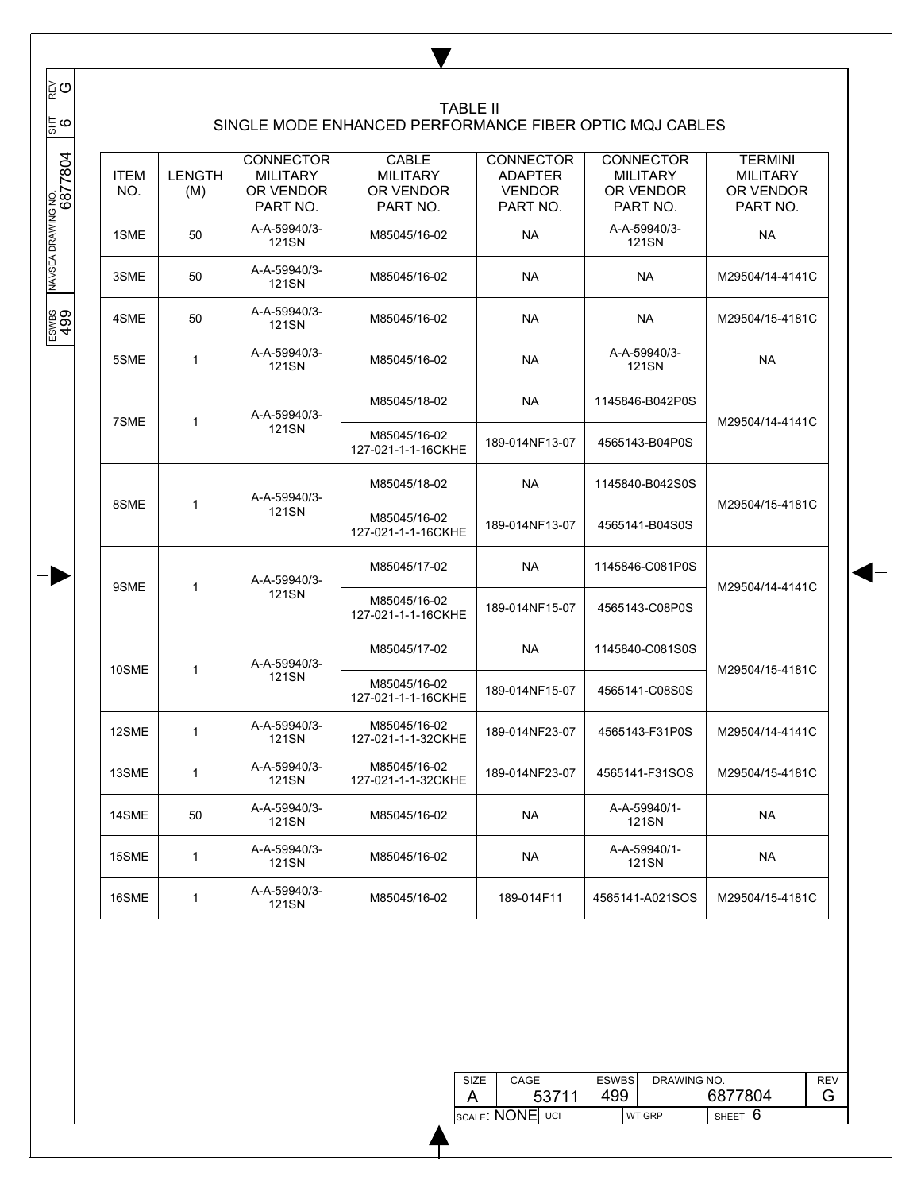| <b>ITEM</b><br>NO. | <b>LENGTH</b><br>(M)          | <b>CONNECTOR</b><br><b>MILITARY</b><br>OR VENDOR<br>PART NO. | <b>CABLE</b><br><b>MILITARY</b><br>OR VENDOR<br>PART NO. | <b>CONNECTOR</b><br><b>ADAPTER</b><br><b>VENDOR</b><br>PART NO. | <b>CONNECTOR</b><br><b>MILITARY</b><br>OR VENDOR<br>PART NO. | <b>TERMINI</b><br><b>MILITARY</b><br>OR VENDOR<br>PART NO. |
|--------------------|-------------------------------|--------------------------------------------------------------|----------------------------------------------------------|-----------------------------------------------------------------|--------------------------------------------------------------|------------------------------------------------------------|
| 1SME               | 50                            | A-A-59940/3-<br><b>121SN</b>                                 | M85045/16-02                                             | <b>NA</b>                                                       | A-A-59940/3-<br>121SN                                        | <b>NA</b>                                                  |
| 3SME               | 50                            | A-A-59940/3-<br><b>121SN</b>                                 | M85045/16-02                                             | <b>NA</b>                                                       | <b>NA</b>                                                    | M29504/14-4141C                                            |
| 4SME               | 50                            | A-A-59940/3-<br>121SN                                        | M85045/16-02                                             | <b>NA</b>                                                       | <b>NA</b>                                                    | M29504/15-4181C                                            |
| 5SME               | $\mathbf{1}$                  | A-A-59940/3-<br>121SN                                        | M85045/16-02                                             | <b>NA</b>                                                       | A-A-59940/3-<br>121SN                                        | <b>NA</b>                                                  |
|                    |                               |                                                              | M85045/18-02                                             | <b>NA</b>                                                       | 1145846-B042P0S                                              |                                                            |
|                    |                               | <b>121SN</b>                                                 | M85045/16-02<br>127-021-1-1-16CKHE                       | 189-014NF13-07                                                  | 4565143-B04P0S                                               | M29504/14-4141C                                            |
|                    |                               | A-A-59940/3-                                                 | M85045/18-02                                             | <b>NA</b>                                                       | 1145840-B042S0S                                              |                                                            |
|                    |                               | <b>121SN</b>                                                 | M85045/16-02<br>127-021-1-1-16CKHE                       | 189-014NF13-07                                                  | 4565141-B04S0S                                               | M29504/15-4181C                                            |
|                    |                               | A-A-59940/3-                                                 | M85045/17-02                                             | <b>NA</b>                                                       | 1145846-C081P0S                                              |                                                            |
|                    |                               | <b>121SN</b>                                                 | M85045/16-02<br>127-021-1-1-16CKHE                       | 189-014NF15-07                                                  | 4565143-C08P0S                                               | M29504/14-4141C                                            |
|                    |                               | A-A-59940/3-                                                 | M85045/17-02                                             | <b>NA</b>                                                       | 1145840-C081S0S                                              |                                                            |
|                    |                               | <b>121SN</b>                                                 | M85045/16-02<br>127-021-1-1-16CKHE                       | 189-014NF15-07                                                  | 4565141-C08S0S                                               | M29504/15-4181C                                            |
| 12SME              | 1                             | A-A-59940/3-<br>121SN                                        | M85045/16-02<br>127-021-1-1-32CKHE                       | 189-014NF23-07                                                  | 4565143-F31P0S                                               | M29504/14-4141C                                            |
| 13SME              | $\mathbf{1}$                  | A-A-59940/3-<br>121SN                                        | M85045/16-02<br>127-021-1-1-32CKHE                       | 189-014NF23-07                                                  | 4565141-F31SOS                                               | M29504/15-4181C                                            |
| 14SME              | 50                            | A-A-59940/3-<br>121SN                                        | M85045/16-02                                             | <b>NA</b>                                                       | A-A-59940/1-<br>121SN                                        | <b>NA</b>                                                  |
| 15SME              | $\mathbf{1}$                  | A-A-59940/3-<br>121SN                                        | M85045/16-02                                             | <b>NA</b>                                                       | A-A-59940/1-<br>121SN                                        | <b>NA</b>                                                  |
| 16SME              | 1                             | A-A-59940/3-<br>121SN                                        | M85045/16-02                                             | 189-014F11                                                      | 4565141-A021SOS                                              | M29504/15-4181C                                            |
|                    | 7SME<br>8SME<br>9SME<br>10SME | 1<br>1<br>1<br>1                                             | A-A-59940/3-                                             |                                                                 | <b>TABLE II</b>                                              | SINGLE MODE ENHANCED PERFORMANCE FIBER OPTIC MQJ CABLES    |

Τ

| SIZE | <b>ESWBS</b><br>CAGE |     | DRAWING NO.   | REV     |   |
|------|----------------------|-----|---------------|---------|---|
|      | 53711                | 499 |               | 6877804 | G |
|      | SCALE: NONE UCI      |     | <b>WT GRP</b> | SHEET O |   |

 $\overline{\phantom{a}}$  $\overline{\phantom{a}}$ 

 $\overline{\phantom{a}}$  $\overline{\phantom{a}}$  $\overline{\phantom{a}}$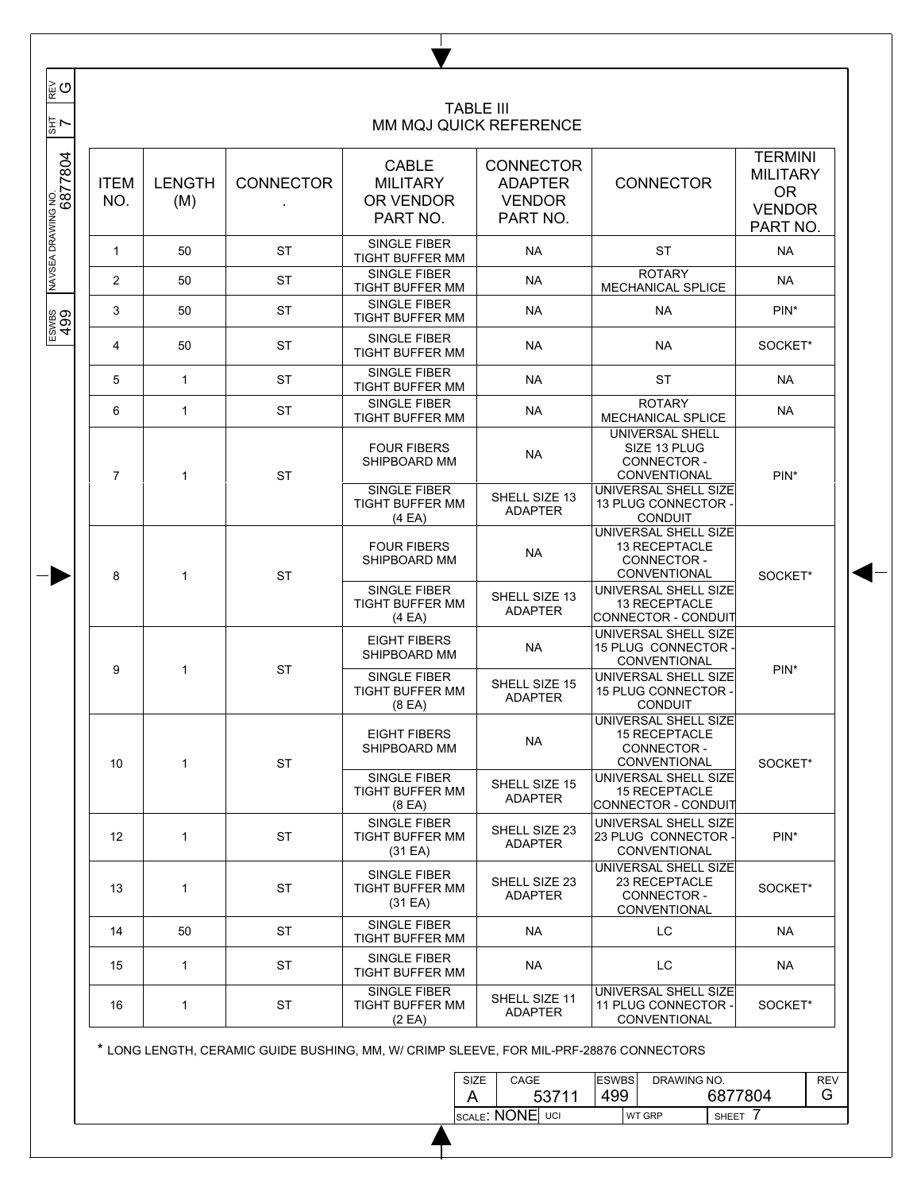| 동 7                           |                                            |              |                  |                                                           | <b>TABLE III</b><br>MM MQJ QUICK REFERENCE                                                     |                                                                                               |                                                                             |  |
|-------------------------------|--------------------------------------------|--------------|------------------|-----------------------------------------------------------|------------------------------------------------------------------------------------------------|-----------------------------------------------------------------------------------------------|-----------------------------------------------------------------------------|--|
| NAVSEA DRAWING NO.<br>6877804 | <b>ITEM</b><br><b>LENGTH</b><br>NO.<br>(M) |              | <b>CONNECTOR</b> | <b>CABLE</b><br><b>MILITARY</b><br>OR VENDOR<br>PART NO.  | <b>CONNECTOR</b><br><b>ADAPTER</b><br><b>VENDOR</b><br>PART NO.                                | <b>CONNECTOR</b>                                                                              | <b>TERMINI</b><br><b>MILITARY</b><br><b>OR</b><br><b>VENDOR</b><br>PART NO. |  |
|                               | 1                                          | 50           | <b>ST</b>        | SINGLE FIBER<br>TIGHT BUFFER MM                           | NA.                                                                                            | <b>ST</b>                                                                                     | NA.                                                                         |  |
|                               | $\overline{2}$                             | 50           | <b>ST</b>        | <b>SINGLE FIBER</b><br>TIGHT BUFFER MM                    | <b>NA</b>                                                                                      | <b>ROTARY</b><br>MECHANICAL SPLICE                                                            | <b>NA</b>                                                                   |  |
|                               | 3                                          | 50           | <b>ST</b>        | SINGLE FIBER<br><b>TIGHT BUFFER MM</b>                    | <b>NA</b>                                                                                      | <b>NA</b>                                                                                     | $PIN*$                                                                      |  |
| ESWBS<br>499                  | 4                                          | 50           | <b>ST</b>        | SINGLE FIBER<br>TIGHT BUFFER MM                           | NA.                                                                                            | <b>NA</b>                                                                                     | SOCKET*                                                                     |  |
|                               | 5                                          | $\mathbf{1}$ | <b>ST</b>        | <b>SINGLE FIBER</b><br>TIGHT BUFFER MM                    | NA.                                                                                            | <b>ST</b>                                                                                     | <b>NA</b>                                                                   |  |
|                               | 6                                          | $\mathbf{1}$ | <b>ST</b>        | SINGLE FIBER<br><b>TIGHT BUFFER MM</b>                    | <b>NA</b>                                                                                      | <b>ROTARY</b><br>MECHANICAL SPLICE                                                            | <b>NA</b>                                                                   |  |
|                               | $\overline{7}$                             | 1            | <b>ST</b>        | <b>FOUR FIBERS</b><br>SHIPBOARD MM<br><b>SINGLE FIBER</b> | <b>NA</b>                                                                                      | <b>UNIVERSAL SHELL</b><br>SIZE 13 PLUG<br>CONNECTOR -<br>CONVENTIONAL<br>UNIVERSAL SHELL SIZE | $PIN*$                                                                      |  |
|                               |                                            |              |                  | <b>TIGHT BUFFER MM</b><br>(4EA)                           | SHELL SIZE 13<br><b>ADAPTER</b>                                                                | 13 PLUG CONNECTOR -<br><b>CONDUIT</b>                                                         |                                                                             |  |
|                               | 8                                          | 1            | <b>ST</b>        | <b>FOUR FIBERS</b><br>SHIPBOARD MM                        | <b>NA</b>                                                                                      | UNIVERSAL SHELL SIZE<br>13 RECEPTACLE<br>CONNECTOR -<br>CONVENTIONAL                          | SOCKET*                                                                     |  |
|                               |                                            |              |                  | SINGLE FIBER<br><b>TIGHT BUFFER MM</b><br>(4EA)           | SHELL SIZE 13<br><b>ADAPTER</b>                                                                | UNIVERSAL SHELL SIZE<br>13 RECEPTACLE<br>CONNECTOR - CONDUIT                                  |                                                                             |  |
|                               |                                            |              |                  | <b>EIGHT FIBERS</b><br>SHIPBOARD MM                       | <b>NA</b>                                                                                      | UNIVERSAL SHELL SIZE<br>15 PLUG CONNECTOR -<br>CONVENTIONAL                                   |                                                                             |  |
|                               | 9<br>$\mathbf{1}$                          |              | <b>ST</b>        | SINGLE FIBER<br>TIGHT BUFFER MM<br>(8 <sub>E</sub> A)     | SHELL SIZE 15<br><b>ADAPTER</b>                                                                | UNIVERSAL SHELL SIZE<br>15 PLUG CONNECTOR -<br><b>CONDUIT</b>                                 | $PIN*$                                                                      |  |
|                               | 10 <sup>°</sup>                            | $\mathbf{1}$ | ST               | <b>EIGHT FIBERS</b><br>SHIPBOARD MM                       | NA.                                                                                            | UNIVERSAL SHELL SIZE<br>15 RECEPTACLE<br>CONNECTOR -<br>CONVENTIONAL                          | SOCKET*                                                                     |  |
|                               |                                            |              |                  | SINGLE FIBER<br>TIGHT BUFFER MM<br>(8 <sup>E</sup> A)     | SHELL SIZE 15<br>ADAPTER                                                                       | UNIVERSAL SHELL SIZE<br><b>15 RECEPTACLE</b><br>CONNECTOR - CONDUIT                           |                                                                             |  |
|                               | $12 \overline{ }$                          | $\mathbf{1}$ | <b>ST</b>        | SINGLE FIBER<br><b>TIGHT BUFFER MM</b><br>(31 EA)         | SHELL SIZE 23<br><b>ADAPTER</b>                                                                | UNIVERSAL SHELL SIZE<br>23 PLUG CONNECTOR -<br>CONVENTIONAL                                   | $PIN*$                                                                      |  |
|                               | 13                                         | $\mathbf{1}$ | <b>ST</b>        | SINGLE FIBER<br>TIGHT BUFFER MM<br>(31 EA)                | SHELL SIZE 23<br><b>ADAPTER</b>                                                                | UNIVERSAL SHELL SIZE<br>23 RECEPTACLE<br>CONNECTOR-<br>CONVENTIONAL                           | SOCKET*                                                                     |  |
|                               | 14                                         | 50           | <b>ST</b>        | <b>SINGLE FIBER</b><br>TIGHT BUFFER MM                    | NA                                                                                             | LC                                                                                            | NA                                                                          |  |
|                               | 15                                         | $\mathbf{1}$ | <b>ST</b>        | SINGLE FIBER<br>TIGHT BUFFER MM                           | NA                                                                                             | LC                                                                                            | NA                                                                          |  |
|                               | 16                                         | $\mathbf{1}$ | <b>ST</b>        | SINGLE FIBER<br>TIGHT BUFFER MM<br>(2EA)                  | UNIVERSAL SHELL SIZE<br>SHELL SIZE 11<br>11 PLUG CONNECTOR -<br><b>ADAPTER</b><br>CONVENTIONAL |                                                                                               | SOCKET*                                                                     |  |

ı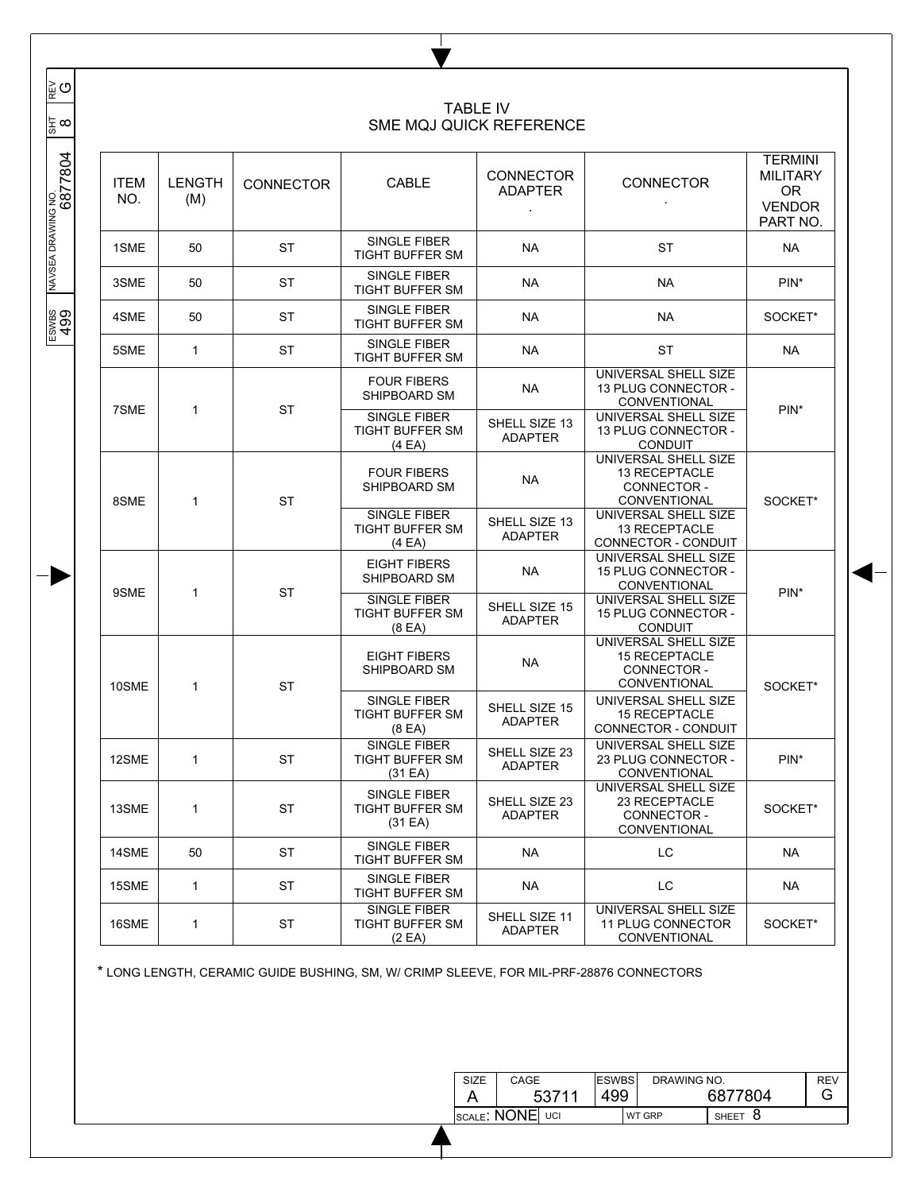|  |                    |               |                  |                                                       |                                    |                                                                             | <b>TERMINI</b>                                            |  |
|--|--------------------|---------------|------------------|-------------------------------------------------------|------------------------------------|-----------------------------------------------------------------------------|-----------------------------------------------------------|--|
|  | <b>ITEM</b><br>NO. | LENGTH<br>(M) | <b>CONNECTOR</b> | CABLE                                                 | <b>CONNECTOR</b><br><b>ADAPTER</b> | <b>CONNECTOR</b>                                                            | <b>MILITARY</b><br><b>OR</b><br><b>VENDOR</b><br>PART NO. |  |
|  | 1SME               | 50            | <b>ST</b>        | SINGLE FIBER<br>TIGHT BUFFER SM                       | <b>NA</b>                          | <b>ST</b>                                                                   | NA                                                        |  |
|  | 3SME               | 50            | ST               | SINGLE FIBER<br><b>TIGHT BUFFER SM</b>                | <b>NA</b>                          | <b>NA</b>                                                                   | PIN <sup>*</sup>                                          |  |
|  | 4SME               | 50            | ST               | SINGLE FIBER<br><b>TIGHT BUFFER SM</b>                | <b>NA</b>                          | <b>NA</b>                                                                   | SOCKET*                                                   |  |
|  | 5SME               | $\mathbf{1}$  | <b>ST</b>        | SINGLE FIBER<br>TIGHT BUFFER SM                       | <b>NA</b>                          | <b>ST</b>                                                                   | <b>NA</b>                                                 |  |
|  | 7SME               | 1             | <b>ST</b>        | <b>FOUR FIBERS</b><br>SHIPBOARD SM                    | <b>NA</b>                          | UNIVERSAL SHELL SIZE<br>13 PLUG CONNECTOR -<br>CONVENTIONAL                 |                                                           |  |
|  |                    |               |                  | SINGLE FIBER<br><b>TIGHT BUFFER SM</b><br>(4EA)       | SHELL SIZE 13<br><b>ADAPTER</b>    | UNIVERSAL SHELL SIZE<br>13 PLUG CONNECTOR -<br><b>CONDUIT</b>               | $PIN*$                                                    |  |
|  | 8SME               | 1             | <b>ST</b>        | <b>FOUR FIBERS</b><br>SHIPBOARD SM                    | <b>NA</b>                          | UNIVERSAL SHELL SIZE<br>13 RECEPTACLE<br>CONNECTOR -<br>CONVENTIONAL        | SOCKET*                                                   |  |
|  |                    |               |                  | SINGLE FIBER<br>TIGHT BUFFER SM<br>(4EA)              | SHELL SIZE 13<br><b>ADAPTER</b>    | UNIVERSAL SHELL SIZE<br>13 RECEPTACLE<br>CONNECTOR - CONDUIT                |                                                           |  |
|  | 9SME               | 1             | <b>ST</b>        | <b>EIGHT FIBERS</b><br>SHIPBOARD SM                   | <b>NA</b>                          | UNIVERSAL SHELL SIZE<br>15 PLUG CONNECTOR -<br>CONVENTIONAL                 | $PIN*$                                                    |  |
|  |                    |               |                  | SINGLE FIBER<br>TIGHT BUFFER SM<br>(8 <sub>E</sub> A) | SHELL SIZE 15<br><b>ADAPTER</b>    | UNIVERSAL SHELL SIZE<br>15 PLUG CONNECTOR -<br><b>CONDUIT</b>               |                                                           |  |
|  | 10SME              | 1             | <b>ST</b>        | <b>EIGHT FIBERS</b><br>SHIPBOARD SM                   | <b>NA</b>                          | UNIVERSAL SHELL SIZE<br><b>15 RECEPTACLE</b><br>CONNECTOR -<br>CONVENTIONAL | SOCKET*                                                   |  |
|  |                    |               |                  | SINGLE FIBER<br>TIGHT BUFFER SM<br>(8 <sup>E</sup> A) | SHELL SIZE 15<br><b>ADAPTER</b>    | UNIVERSAL SHELL SIZE<br><b>15 RECEPTACLE</b><br>CONNECTOR - CONDUIT         |                                                           |  |
|  | 12SME              | 1             | ST               | SINGLE FIBER<br>TIGHT BUFFER SM<br>(31 EA)            | SHELL SIZE 23<br><b>ADAPTER</b>    | UNIVERSAL SHELL SIZE<br>23 PLUG CONNECTOR -<br>CONVENTIONAL                 | PIN <sup>*</sup>                                          |  |
|  | 13SME              | $\mathbf{1}$  | <b>ST</b>        | SINGLE FIBER<br>TIGHT BUFFER SM<br>(31 EA)            | SHELL SIZE 23<br><b>ADAPTER</b>    | UNIVERSAL SHELL SIZE<br>23 RECEPTACLE<br>CONNECTOR -<br>CONVENTIONAL        | SOCKET*                                                   |  |
|  | 14SME              | 50            | ST               | <b>SINGLE FIBER</b><br>TIGHT BUFFER SM                | NA.                                | LC                                                                          | NA                                                        |  |
|  | 15SME              | $\mathbf{1}$  | ST               | SINGLE FIBER<br><b>TIGHT BUFFER SM</b>                | <b>NA</b>                          | LC                                                                          | NA.                                                       |  |
|  | 16SME              | $\mathbf{1}$  | ST               | SINGLE FIBER<br><b>TIGHT BUFFER SM</b><br>(2 EA)      | SHELL SIZE 11<br><b>ADAPTER</b>    | UNIVERSAL SHELL SIZE<br><b>11 PLUG CONNECTOR</b><br>CONVENTIONAL            | SOCKET*                                                   |  |

 $\mathbb{L}$ V

| SIZE | CAGE            | <b>IESWBS</b> | DRAWING NO.   |             | <b>REV</b> |
|------|-----------------|---------------|---------------|-------------|------------|
|      | 53711           | 499           |               | 6877804     | G          |
|      | SCALE: NONE UCI |               | <b>WT GRP</b> | -8<br>SHEET |            |

## $\overline{\phantom{a}}$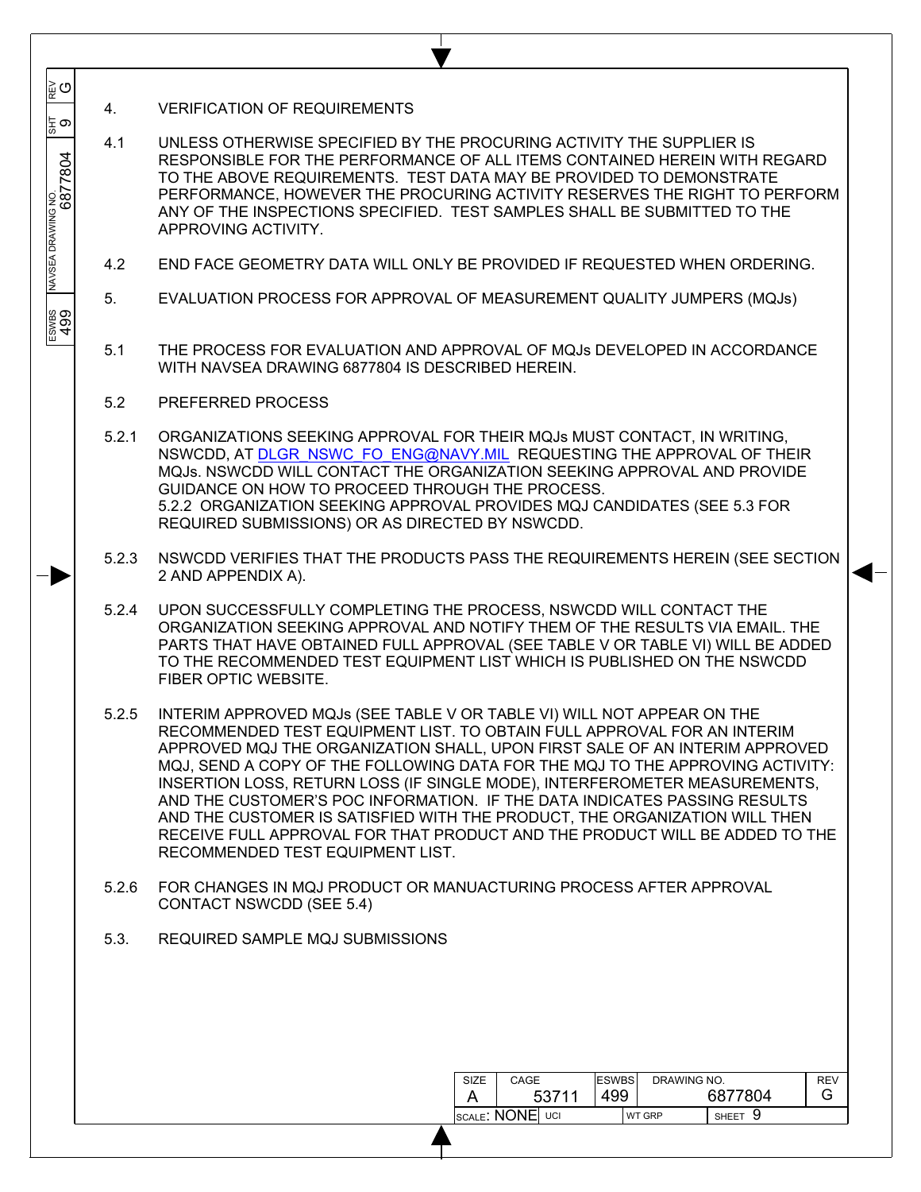4. VERIFICATION OF REQUIREMENTS

 $\overline{\phantom{a}}$  $\overline{\phantom{a}}$  $\overline{\phantom{a}}$ 

ຼ⊵ ⊙

<u>င္မ</u>ွ တ

 $\overline{\phantom{a}}$  $\overline{\phantom{a}}$ 

 $\overline{\phantom{a}}$ 

 $\frac{1}{\sqrt{3}}$   $\frac{1}{\sqrt{3}}$   $\frac{1}{\sqrt{3}}$   $\frac{1}{\sqrt{3}}$   $\frac{1}{\sqrt{3}}$   $\frac{1}{\sqrt{3}}$   $\frac{1}{\sqrt{3}}$   $\frac{1}{\sqrt{3}}$   $\frac{1}{\sqrt{3}}$   $\frac{1}{\sqrt{3}}$   $\frac{1}{\sqrt{3}}$   $\frac{1}{\sqrt{3}}$   $\frac{1}{\sqrt{3}}$   $\frac{1}{\sqrt{3}}$   $\frac{1}{\sqrt{3}}$   $\frac{1}{\sqrt{3}}$   $\frac{1}{\sqrt{3}}$ 

ESWBS<br>499

- 4.1 UNLESS OTHERWISE SPECIFIED BY THE PROCURING ACTIVITY THE SUPPLIER IS RESPONSIBLE FOR THE PERFORMANCE OF ALL ITEMS CONTAINED HEREIN WITH REGARD TO THE ABOVE REQUIREMENTS. TEST DATA MAY BE PROVIDED TO DEMONSTRATE PERFORMANCE, HOWEVER THE PROCURING ACTIVITY RESERVES THE RIGHT TO PERFORM ANY OF THE INSPECTIONS SPECIFIED. TEST SAMPLES SHALL BE SUBMITTED TO THE APPROVING ACTIVITY.
- 4.2 END FACE GEOMETRY DATA WILL ONLY BE PROVIDED IF REQUESTED WHEN ORDERING.
- 5. EVALUATION PROCESS FOR APPROVAL OF MEASUREMENT QUALITY JUMPERS (MQJs)
- 5.1 THE PROCESS FOR EVALUATION AND APPROVAL OF MQJs DEVELOPED IN ACCORDANCE WITH NAVSEA DRAWING 6877804 IS DESCRIBED HEREIN.
- 5.2 PREFERRED PROCESS
- 5.2.1 ORGANIZATIONS SEEKING APPROVAL FOR THEIR MQJs MUST CONTACT, IN WRITING, NSWCDD, AT DLGR\_NSWC\_FO\_ENG@NAVY.MIL REQUESTING THE APPROVAL OF THEIR MQJs. NSWCDD WILL CONTACT THE ORGANIZATION SEEKING APPROVAL AND PROVIDE GUIDANCE ON HOW TO PROCEED THROUGH THE PROCESS. 5.2.2 ORGANIZATION SEEKING APPROVAL PROVIDES MQJ CANDIDATES (SEE 5.3 FOR REQUIRED SUBMISSIONS) OR AS DIRECTED BY NSWCDD.
- 5.2.3 NSWCDD VERIFIES THAT THE PRODUCTS PASS THE REQUIREMENTS HEREIN (SEE SECTION 2 AND APPENDIX A).
- 5.2.4 UPON SUCCESSFULLY COMPLETING THE PROCESS, NSWCDD WILL CONTACT THE ORGANIZATION SEEKING APPROVAL AND NOTIFY THEM OF THE RESULTS VIA EMAIL. THE PARTS THAT HAVE OBTAINED FULL APPROVAL (SEE TABLE V OR TABLE VI) WILL BE ADDED TO THE RECOMMENDED TEST EQUIPMENT LIST WHICH IS PUBLISHED ON THE NSWCDD FIBER OPTIC WEBSITE.
- 5.2.5 INTERIM APPROVED MQJs (SEE TABLE V OR TABLE VI) WILL NOT APPEAR ON THE RECOMMENDED TEST EQUIPMENT LIST. TO OBTAIN FULL APPROVAL FOR AN INTERIM APPROVED MQJ THE ORGANIZATION SHALL, UPON FIRST SALE OF AN INTERIM APPROVED MQJ, SEND A COPY OF THE FOLLOWING DATA FOR THE MQJ TO THE APPROVING ACTIVITY: INSERTION LOSS, RETURN LOSS (IF SINGLE MODE), INTERFEROMETER MEASUREMENTS, AND THE CUSTOMER'S POC INFORMATION. IF THE DATA INDICATES PASSING RESULTS AND THE CUSTOMER IS SATISFIED WITH THE PRODUCT, THE ORGANIZATION WILL THEN RECEIVE FULL APPROVAL FOR THAT PRODUCT AND THE PRODUCT WILL BE ADDED TO THE RECOMMENDED TEST EQUIPMENT LIST.
- 5.2.6 FOR CHANGES IN MQJ PRODUCT OR MANUACTURING PROCESS AFTER APPROVAL CONTACT NSWCDD (SEE 5.4)
- 5.3. REQUIRED SAMPLE MQJ SUBMISSIONS

| SIZE                    | CAGE |       | <b>ESWBS</b><br>DRAWING NO. |  |               |                   | <b>REV</b> |
|-------------------------|------|-------|-----------------------------|--|---------------|-------------------|------------|
|                         |      | 53711 |                             |  |               | 6877804           |            |
| <b>ISCALE: NONE</b> UCI |      |       |                             |  | <b>WT GRP</b> | 9<br><b>SHEET</b> |            |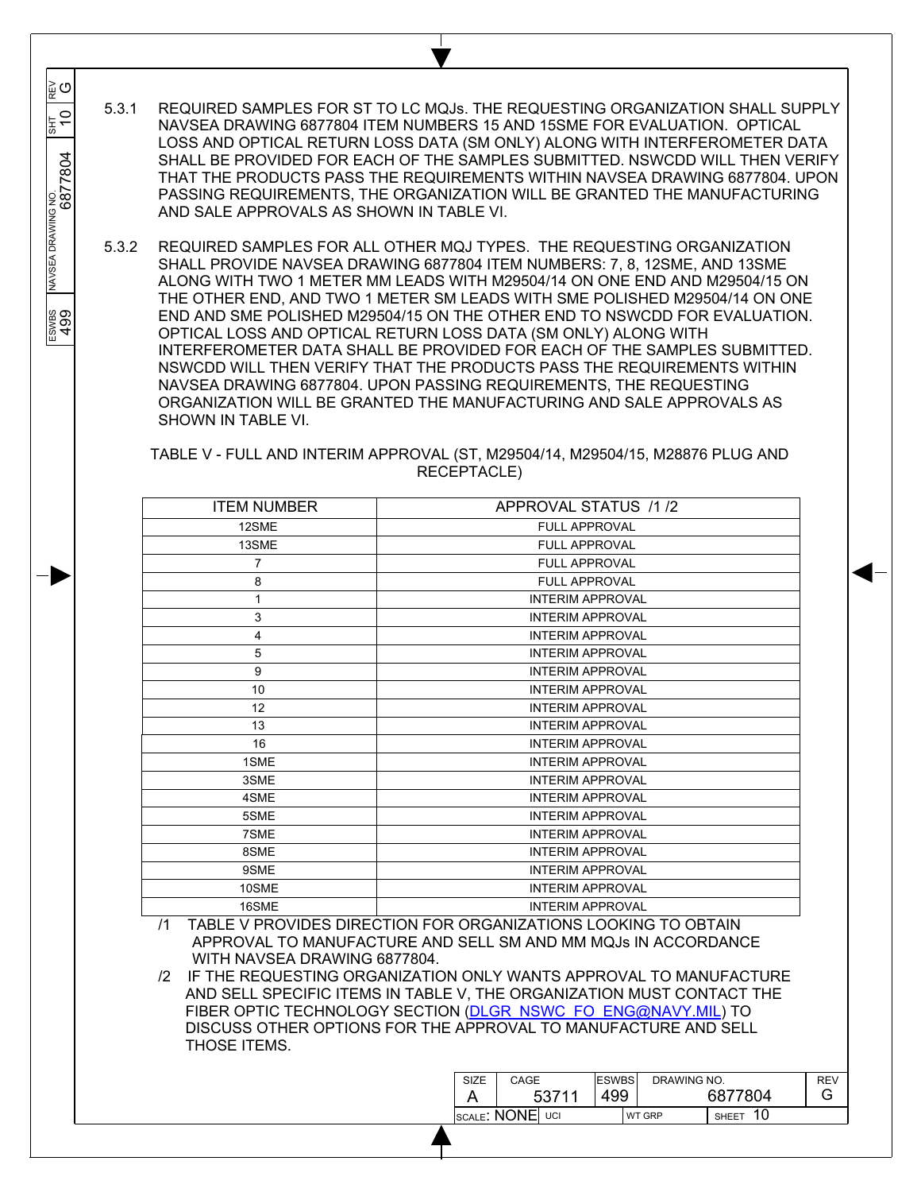5.3.1 REQUIRED SAMPLES FOR ST TO LC MQJs. THE REQUESTING ORGANIZATION SHALL SUPPLY NAVSEA DRAWING 6877804 ITEM NUMBERS 15 AND 15SME FOR EVALUATION. OPTICAL LOSS AND OPTICAL RETURN LOSS DATA (SM ONLY) ALONG WITH INTERFEROMETER DATA SHALL BE PROVIDED FOR EACH OF THE SAMPLES SUBMITTED. NSWCDD WILL THEN VERIFY THAT THE PRODUCTS PASS THE REQUIREMENTS WITHIN NAVSEA DRAWING 6877804. UPON PASSING REQUIREMENTS, THE ORGANIZATION WILL BE GRANTED THE MANUFACTURING AND SALE APPROVALS AS SHOWN IN TABLE VI.

 $\overline{\phantom{a}}$  $\overline{\phantom{a}}$  $\overline{\phantom{a}}$ 

្លុ<br>ម្

 $\overline{0}$ 

6877804

 $\overline{\phantom{a}}$  $\overline{\phantom{a}}$ 

 $\overline{\phantom{a}}$ 

NAVSEA DRAWING NO

ESWES<br>499

 $\frac{1}{\sqrt{3}}$   $\frac{1}{\sqrt{3}}$   $\frac{1}{\sqrt{3}}$   $\frac{1}{\sqrt{3}}$   $\frac{1}{\sqrt{3}}$   $\frac{1}{\sqrt{3}}$   $\frac{1}{\sqrt{3}}$   $\frac{1}{\sqrt{3}}$   $\frac{1}{\sqrt{3}}$   $\frac{1}{\sqrt{3}}$   $\frac{1}{\sqrt{3}}$   $\frac{1}{\sqrt{3}}$   $\frac{1}{\sqrt{3}}$   $\frac{1}{\sqrt{3}}$   $\frac{1}{\sqrt{3}}$   $\frac{1}{\sqrt{3}}$   $\frac{1}{\sqrt{3}}$ 

5.3.2 REQUIRED SAMPLES FOR ALL OTHER MQJ TYPES. THE REQUESTING ORGANIZATION SHALL PROVIDE NAVSEA DRAWING 6877804 ITEM NUMBERS: 7, 8, 12SME, AND 13SME ALONG WITH TWO 1 METER MM LEADS WITH M29504/14 ON ONE END AND M29504/15 ON THE OTHER END, AND TWO 1 METER SM LEADS WITH SME POLISHED M29504/14 ON ONE END AND SME POLISHED M29504/15 ON THE OTHER END TO NSWCDD FOR EVALUATION. OPTICAL LOSS AND OPTICAL RETURN LOSS DATA (SM ONLY) ALONG WITH INTERFEROMETER DATA SHALL BE PROVIDED FOR EACH OF THE SAMPLES SUBMITTED. NSWCDD WILL THEN VERIFY THAT THE PRODUCTS PASS THE REQUIREMENTS WITHIN NAVSEA DRAWING 6877804. UPON PASSING REQUIREMENTS, THE REQUESTING ORGANIZATION WILL BE GRANTED THE MANUFACTURING AND SALE APPROVALS AS SHOWN IN TABLE VI.

TABLE V - FULL AND INTERIM APPROVAL (ST, M29504/14, M29504/15, M28876 PLUG AND RECEPTACLE)

| <b>ITEM NUMBER</b> | APPROVAL STATUS /1/2    |
|--------------------|-------------------------|
| 12SME              | <b>FULL APPROVAL</b>    |
| 13SME              | <b>FULL APPROVAL</b>    |
| $\overline{7}$     | <b>FULL APPROVAL</b>    |
| 8                  | <b>FULL APPROVAL</b>    |
| 1                  | <b>INTERIM APPROVAL</b> |
| 3                  | <b>INTERIM APPROVAL</b> |
| 4                  | <b>INTERIM APPROVAL</b> |
| 5                  | <b>INTERIM APPROVAL</b> |
| 9                  | <b>INTERIM APPROVAL</b> |
| 10                 | <b>INTERIM APPROVAL</b> |
| 12                 | <b>INTERIM APPROVAL</b> |
| 13                 | <b>INTERIM APPROVAL</b> |
| 16                 | <b>INTERIM APPROVAL</b> |
| 1SME               | <b>INTERIM APPROVAL</b> |
| 3SME               | <b>INTERIM APPROVAL</b> |
| 4SME               | <b>INTERIM APPROVAL</b> |
| 5SME               | <b>INTERIM APPROVAL</b> |
| 7SME               | <b>INTERIM APPROVAL</b> |
| 8SME               | <b>INTERIM APPROVAL</b> |
| 9SME               | <b>INTERIM APPROVAL</b> |
| 10SME              | <b>INTERIM APPROVAL</b> |
| 16SME              | <b>INTERIM APPROVAL</b> |

/1 TABLE V PROVIDES DIRECTION FOR ORGANIZATIONS LOOKING TO OBTAIN APPROVAL TO MANUFACTURE AND SELL SM AND MM MQJs IN ACCORDANCE WITH NAVSEA DRAWING 6877804.

/2 IF THE REQUESTING ORGANIZATION ONLY WANTS APPROVAL TO MANUFACTURE AND SELL SPECIFIC ITEMS IN TABLE V, THE ORGANIZATION MUST CONTACT THE FIBER OPTIC TECHNOLOGY SECTION (DLGR\_NSWC\_FO\_ENG@NAVY.MIL) TO DISCUSS OTHER OPTIONS FOR THE APPROVAL TO MANUFACTURE AND SELL THOSE ITEMS.

| SIZE            | CAGE  | <b>ESWBS</b> | DRAWING NO.   |              | <b>REV</b> |
|-----------------|-------|--------------|---------------|--------------|------------|
|                 | 53711 | 499          |               | 6877804      |            |
| SCALE: NONE UCI |       |              | <b>WT GRP</b> | <b>SHEET</b> |            |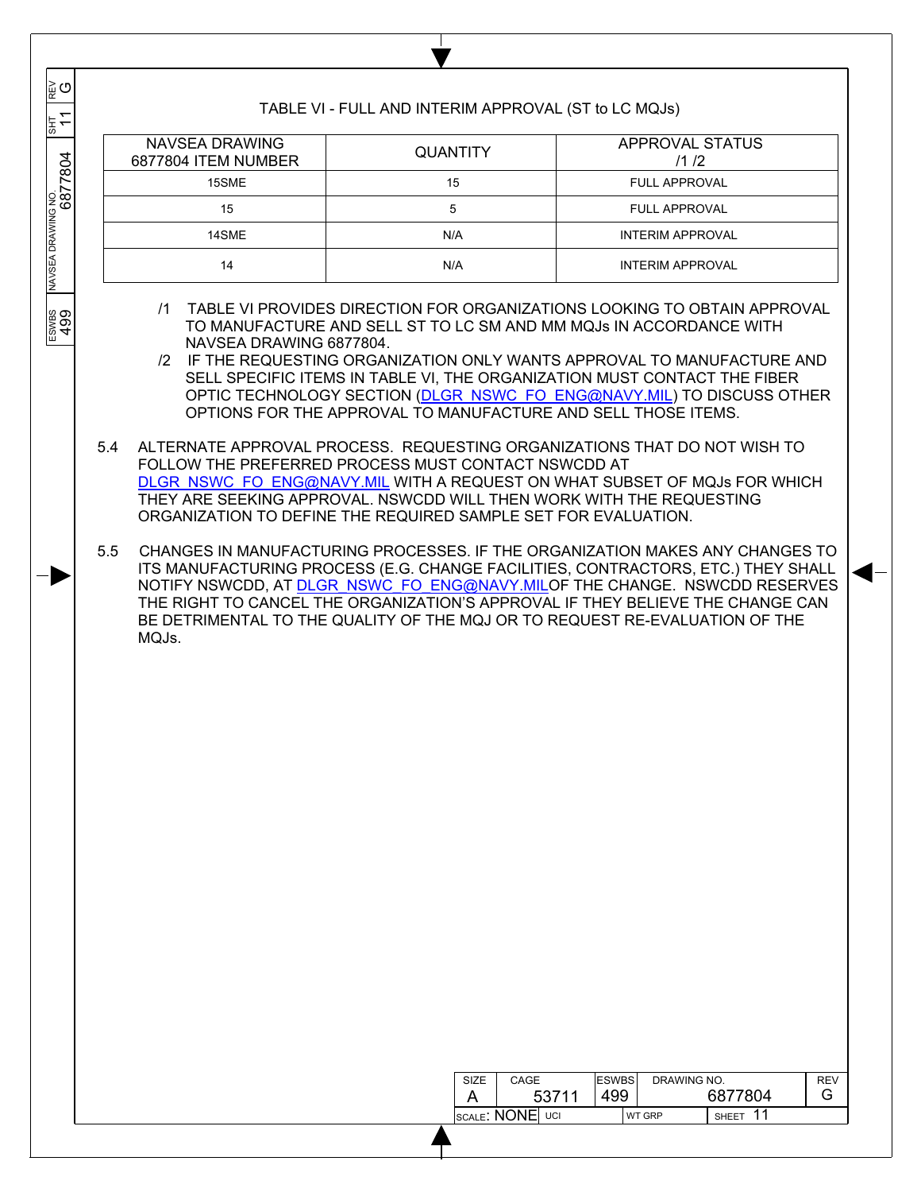| ∥⊵ຼ ⊙                         |                                                                                                                                                                                                      |                 | TABLE VI - FULL AND INTERIM APPROVAL (ST to LC MQJs) |                                                                                                                                                                                                                                                                                                                                                                                                                                                  |
|-------------------------------|------------------------------------------------------------------------------------------------------------------------------------------------------------------------------------------------------|-----------------|------------------------------------------------------|--------------------------------------------------------------------------------------------------------------------------------------------------------------------------------------------------------------------------------------------------------------------------------------------------------------------------------------------------------------------------------------------------------------------------------------------------|
| $\leftarrow$<br><b>THS</b>    | <b>NAVSEA DRAWING</b><br>6877804 ITEM NUMBER                                                                                                                                                         | <b>QUANTITY</b> |                                                      | <b>APPROVAL STATUS</b><br>/1/2                                                                                                                                                                                                                                                                                                                                                                                                                   |
|                               | 15SME                                                                                                                                                                                                | 15              |                                                      | <b>FULL APPROVAL</b>                                                                                                                                                                                                                                                                                                                                                                                                                             |
|                               | 15                                                                                                                                                                                                   | 5               |                                                      | <b>FULL APPROVAL</b>                                                                                                                                                                                                                                                                                                                                                                                                                             |
|                               | 14SME                                                                                                                                                                                                | N/A             |                                                      | <b>INTERIM APPROVAL</b>                                                                                                                                                                                                                                                                                                                                                                                                                          |
| NAVSEA DRAWING NO.<br>OB 7780 | 14                                                                                                                                                                                                   | N/A             |                                                      | <b>INTERIM APPROVAL</b>                                                                                                                                                                                                                                                                                                                                                                                                                          |
| ESWBS<br>499                  | $\sqrt{1}$<br>NAVSEA DRAWING 6877804.                                                                                                                                                                |                 |                                                      | TABLE VI PROVIDES DIRECTION FOR ORGANIZATIONS LOOKING TO OBTAIN APPROVAL<br>TO MANUFACTURE AND SELL ST TO LC SM AND MM MQJs IN ACCORDANCE WITH<br>/2 IF THE REQUESTING ORGANIZATION ONLY WANTS APPROVAL TO MANUFACTURE AND<br>SELL SPECIFIC ITEMS IN TABLE VI, THE ORGANIZATION MUST CONTACT THE FIBER<br>OPTIC TECHNOLOGY SECTION (DLGR NSWC FO ENG@NAVY.MIL) TO DISCUSS OTHER<br>OPTIONS FOR THE APPROVAL TO MANUFACTURE AND SELL THOSE ITEMS. |
|                               | 5.4<br>FOLLOW THE PREFERRED PROCESS MUST CONTACT NSWCDD AT<br>THEY ARE SEEKING APPROVAL. NSWCDD WILL THEN WORK WITH THE REQUESTING<br>ORGANIZATION TO DEFINE THE REQUIRED SAMPLE SET FOR EVALUATION. |                 |                                                      | ALTERNATE APPROVAL PROCESS. REQUESTING ORGANIZATIONS THAT DO NOT WISH TO<br>DLGR NSWC FO ENG@NAVY.MIL WITH A REQUEST ON WHAT SUBSET OF MQJs FOR WHICH                                                                                                                                                                                                                                                                                            |
|                               | 5.5<br>MQJs.                                                                                                                                                                                         |                 |                                                      | CHANGES IN MANUFACTURING PROCESSES. IF THE ORGANIZATION MAKES ANY CHANGES TO<br>ITS MANUFACTURING PROCESS (E.G. CHANGE FACILITIES, CONTRACTORS, ETC.) THEY SHALL<br>NOTIFY NSWCDD, AT DLGR NSWC FO ENG@NAVY.MILOF THE CHANGE. NSWCDD RESERVES<br>THE RIGHT TO CANCEL THE ORGANIZATION'S APPROVAL IF THEY BELIEVE THE CHANGE CAN<br>BE DETRIMENTAL TO THE QUALITY OF THE MQJ OR TO REQUEST RE-EVALUATION OF THE                                   |
|                               |                                                                                                                                                                                                      |                 | SIZE<br>CAGE<br>53711<br>A<br><b>SCALE: NONE</b> UCI | <b>ESWBS</b><br>DRAWING NO.<br><b>REV</b><br>6877804<br>499<br>G<br>SHEET 11<br><b>WT GRP</b>                                                                                                                                                                                                                                                                                                                                                    |

 $\mathbf{I}$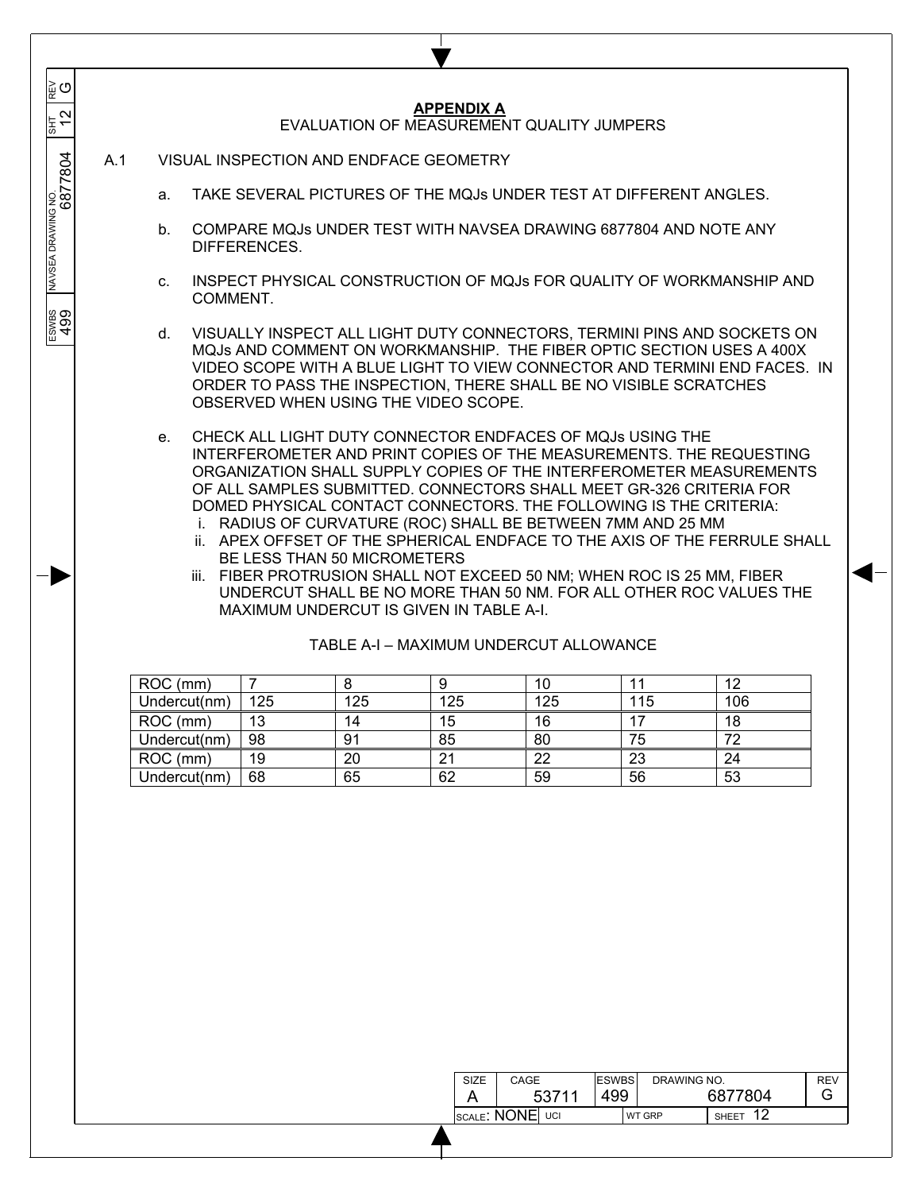|     |                |                |                             | <b>APPENDIX A</b>                       | EVALUATION OF MEASUREMENT QUALITY JUMPERS                                                                                                                                                                                               |     |                                                                                                                                                                                                                                                                                                                                                                                                                                                |
|-----|----------------|----------------|-----------------------------|-----------------------------------------|-----------------------------------------------------------------------------------------------------------------------------------------------------------------------------------------------------------------------------------------|-----|------------------------------------------------------------------------------------------------------------------------------------------------------------------------------------------------------------------------------------------------------------------------------------------------------------------------------------------------------------------------------------------------------------------------------------------------|
| A.1 |                |                |                             | VISUAL INSPECTION AND ENDFACE GEOMETRY  |                                                                                                                                                                                                                                         |     |                                                                                                                                                                                                                                                                                                                                                                                                                                                |
|     | a.             |                |                             |                                         | TAKE SEVERAL PICTURES OF THE MQJs UNDER TEST AT DIFFERENT ANGLES.                                                                                                                                                                       |     |                                                                                                                                                                                                                                                                                                                                                                                                                                                |
|     | b.             | DIFFERENCES.   |                             |                                         | COMPARE MQJs UNDER TEST WITH NAVSEA DRAWING 6877804 AND NOTE ANY                                                                                                                                                                        |     |                                                                                                                                                                                                                                                                                                                                                                                                                                                |
|     | C.<br>COMMENT. |                |                             |                                         |                                                                                                                                                                                                                                         |     | INSPECT PHYSICAL CONSTRUCTION OF MQJs FOR QUALITY OF WORKMANSHIP AND                                                                                                                                                                                                                                                                                                                                                                           |
|     | d.             |                |                             | OBSERVED WHEN USING THE VIDEO SCOPE.    | ORDER TO PASS THE INSPECTION, THERE SHALL BE NO VISIBLE SCRATCHES                                                                                                                                                                       |     | VISUALLY INSPECT ALL LIGHT DUTY CONNECTORS, TERMINI PINS AND SOCKETS ON<br>MQJs AND COMMENT ON WORKMANSHIP. THE FIBER OPTIC SECTION USES A 400X<br>VIDEO SCOPE WITH A BLUE LIGHT TO VIEW CONNECTOR AND TERMINI END FACES. IN                                                                                                                                                                                                                   |
|     | e.             |                | BE LESS THAN 50 MICROMETERS | MAXIMUM UNDERCUT IS GIVEN IN TABLE A-I. | CHECK ALL LIGHT DUTY CONNECTOR ENDFACES OF MQJs USING THE<br>DOMED PHYSICAL CONTACT CONNECTORS. THE FOLLOWING IS THE CRITERIA:<br>i. RADIUS OF CURVATURE (ROC) SHALL BE BETWEEN 7MM AND 25 MM<br>TABLE A-I - MAXIMUM UNDERCUT ALLOWANCE |     | INTERFEROMETER AND PRINT COPIES OF THE MEASUREMENTS. THE REQUESTING<br>ORGANIZATION SHALL SUPPLY COPIES OF THE INTERFEROMETER MEASUREMENTS<br>OF ALL SAMPLES SUBMITTED. CONNECTORS SHALL MEET GR-326 CRITERIA FOR<br>ii. APEX OFFSET OF THE SPHERICAL ENDFACE TO THE AXIS OF THE FERRULE SHALL<br>iii. FIBER PROTRUSION SHALL NOT EXCEED 50 NM; WHEN ROC IS 25 MM, FIBER<br>UNDERCUT SHALL BE NO MORE THAN 50 NM. FOR ALL OTHER ROC VALUES THE |
|     | ROC (mm)       | $\overline{7}$ | 8                           | 9                                       | 10                                                                                                                                                                                                                                      | 11  | 12                                                                                                                                                                                                                                                                                                                                                                                                                                             |
|     | Undercut(nm)   | 125            | 125                         | 125                                     | 125                                                                                                                                                                                                                                     | 115 | 106                                                                                                                                                                                                                                                                                                                                                                                                                                            |
|     | ROC (mm)       | 13             | 14                          | 15                                      | 16                                                                                                                                                                                                                                      | 17  | 18                                                                                                                                                                                                                                                                                                                                                                                                                                             |
|     | Undercut(nm)   | 98             | 91                          | 85                                      | 80                                                                                                                                                                                                                                      | 75  | 72                                                                                                                                                                                                                                                                                                                                                                                                                                             |
|     | ROC (mm)       | 19             | 20                          | 21                                      | 22                                                                                                                                                                                                                                      | 23  | 24                                                                                                                                                                                                                                                                                                                                                                                                                                             |
|     | Undercut(nm)   | 68             | 65                          | 62                                      | 59                                                                                                                                                                                                                                      | 56  | 53                                                                                                                                                                                                                                                                                                                                                                                                                                             |

| SIZE | CAGE                    | <b>ESWBS</b> | DRAWING NO.   |         | <b>REV</b> |
|------|-------------------------|--------------|---------------|---------|------------|
|      | 53711                   | 499          |               | 6877804 | G          |
|      | scale <b>: NONE</b> uci |              | <b>WT GRP</b> | SHEET   |            |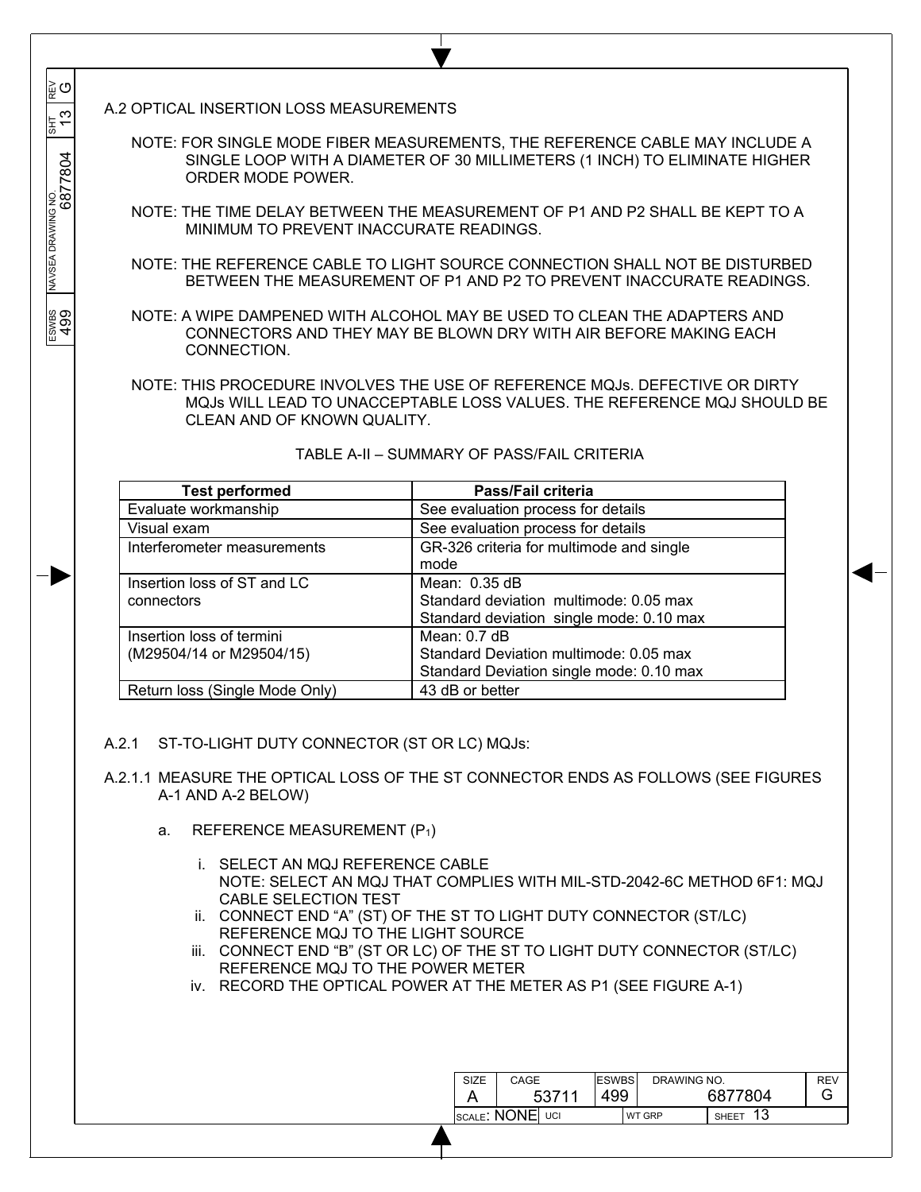A.2 OPTICAL INSERTION LOSS MEASUREMENTS

 $\overline{\phantom{a}}$  $\overline{\phantom{a}}$  $\overline{\phantom{a}}$ 

G

 $\frac{3}{2}$ 

 $\overline{\phantom{a}}$  $\overline{\phantom{a}}$ 

 $\overline{\phantom{a}}$ 

 $\frac{1}{\sqrt{3}}$  (31 TS  $\frac{1}{\sqrt{3}}$  and  $\frac{1}{\sqrt{3}}$  6877804  $\frac{1}{\sqrt{3}}$  6877804 6877804 13

ESWES<br>499

NOTE: FOR SINGLE MODE FIBER MEASUREMENTS, THE REFERENCE CABLE MAY INCLUDE A SINGLE LOOP WITH A DIAMETER OF 30 MILLIMETERS (1 INCH) TO ELIMINATE HIGHER ORDER MODE POWER.

- NOTE: THE TIME DELAY BETWEEN THE MEASUREMENT OF P1 AND P2 SHALL BE KEPT TO A MINIMUM TO PREVENT INACCURATE READINGS.
- NOTE: THE REFERENCE CABLE TO LIGHT SOURCE CONNECTION SHALL NOT BE DISTURBED BETWEEN THE MEASUREMENT OF P1 AND P2 TO PREVENT INACCURATE READINGS.

NOTE: A WIPE DAMPENED WITH ALCOHOL MAY BE USED TO CLEAN THE ADAPTERS AND CONNECTORS AND THEY MAY BE BLOWN DRY WITH AIR BEFORE MAKING EACH CONNECTION.

NOTE: THIS PROCEDURE INVOLVES THE USE OF REFERENCE MQJs. DEFECTIVE OR DIRTY MQJs WILL LEAD TO UNACCEPTABLE LOSS VALUES. THE REFERENCE MQJ SHOULD BE CLEAN AND OF KNOWN QUALITY.

| <b>Test performed</b>                                 | Pass/Fail criteria                                                                                   |
|-------------------------------------------------------|------------------------------------------------------------------------------------------------------|
| Evaluate workmanship                                  | See evaluation process for details                                                                   |
| Visual exam                                           | See evaluation process for details                                                                   |
| Interferometer measurements                           | GR-326 criteria for multimode and single<br>mode                                                     |
| Insertion loss of ST and LC<br>connectors             | Mean: 0.35 dB<br>Standard deviation multimode: 0.05 max<br>Standard deviation single mode: 0.10 max  |
| Insertion loss of termini<br>(M29504/14 or M29504/15) | Mean: $0.7$ dB<br>Standard Deviation multimode: 0.05 max<br>Standard Deviation single mode: 0.10 max |
| Return loss (Single Mode Only)                        | 43 dB or better                                                                                      |

## TABLE A-II – SUMMARY OF PASS/FAIL CRITERIA

- A.2.1 ST-TO-LIGHT DUTY CONNECTOR (ST OR LC) MQJs:
- A.2.1.1 MEASURE THE OPTICAL LOSS OF THE ST CONNECTOR ENDS AS FOLLOWS (SEE FIGURES A-1 AND A-2 BELOW)
	- a. REFERENCE MEASUREMENT (P1)
		- i. SELECT AN MQJ REFERENCE CABLE NOTE: SELECT AN MQJ THAT COMPLIES WITH MIL-STD-2042-6C METHOD 6F1: MQJ CABLE SELECTION TEST
		- ii. CONNECT END "A" (ST) OF THE ST TO LIGHT DUTY CONNECTOR (ST/LC) REFERENCE MQJ TO THE LIGHT SOURCE
		- iii. CONNECT END "B" (ST OR LC) OF THE ST TO LIGHT DUTY CONNECTOR (ST/LC) REFERENCE MQJ TO THE POWER METER
		- iv. RECORD THE OPTICAL POWER AT THE METER AS P1 (SEE FIGURE A-1)

| SIZE              | CAGE  | <b>ESWBS</b> |               | DRAWING NO.  |    |
|-------------------|-------|--------------|---------------|--------------|----|
|                   | 53711 | 499          |               | 6877804      | L٦ |
| Iscale: NONEI uci |       |              | <b>WT GRP</b> | <b>SHEET</b> |    |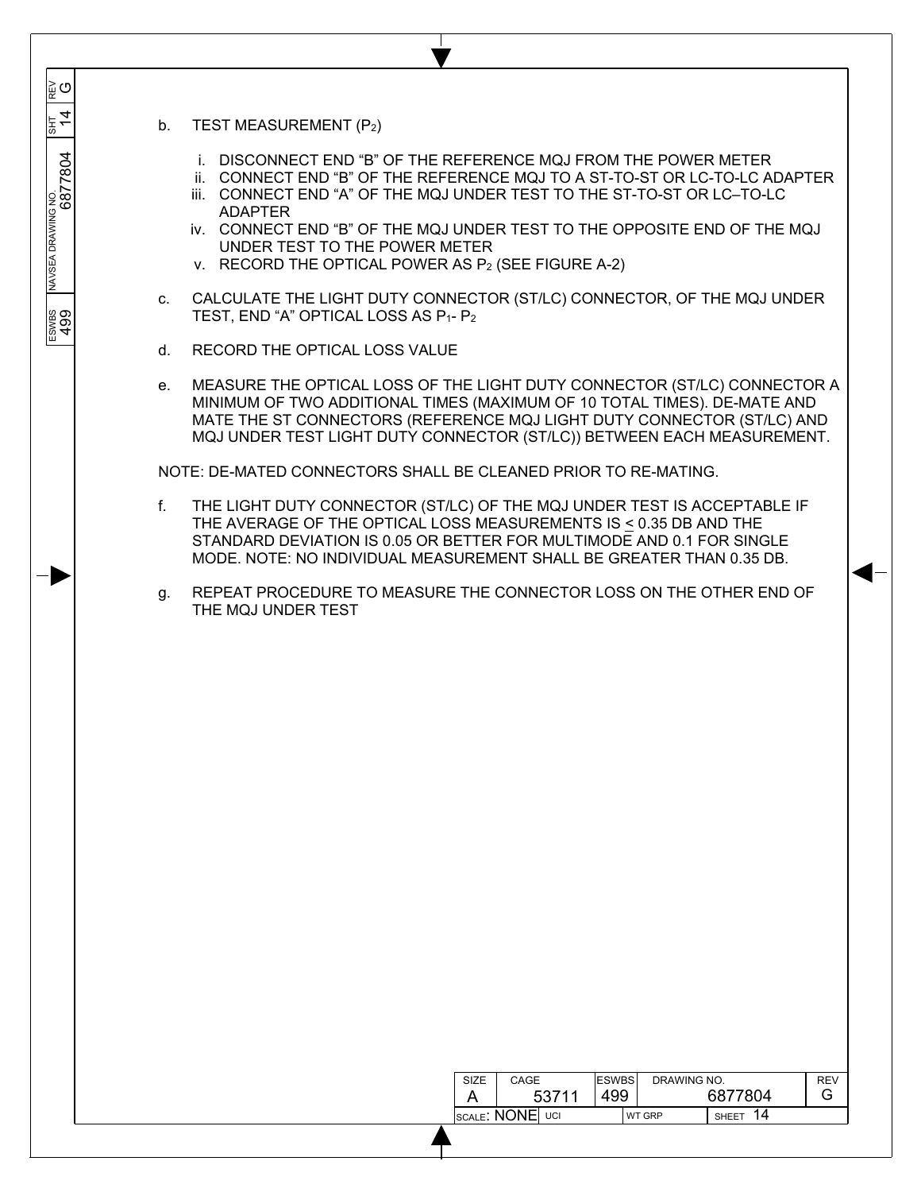| TEST MEASUREMENT (P2)<br>b <sub>1</sub> |
|-----------------------------------------|
|-----------------------------------------|

 $\overline{\phantom{a}}$  $\overline{\phantom{a}}$  $\overline{\phantom{a}}$ 

ັ⊌ຕ

 $\frac{4}{3}$ 

6877804

 $\overline{\phantom{a}}$  $\overline{\phantom{a}}$ 

 $\overline{\phantom{a}}$ 

NAVSEA DRAWING NO

ESWES<br>499

 $\frac{1}{\sqrt{3}}$   $\frac{1}{\sqrt{3}}$   $\frac{1}{\sqrt{3}}$   $\frac{1}{\sqrt{3}}$   $\frac{1}{\sqrt{3}}$   $\frac{1}{\sqrt{3}}$   $\frac{1}{\sqrt{3}}$   $\frac{1}{\sqrt{3}}$   $\frac{1}{\sqrt{3}}$   $\frac{1}{\sqrt{3}}$   $\frac{1}{\sqrt{3}}$   $\frac{1}{\sqrt{3}}$   $\frac{1}{\sqrt{3}}$   $\frac{1}{\sqrt{3}}$   $\frac{1}{\sqrt{3}}$   $\frac{1}{\sqrt{3}}$   $\frac{1}{\sqrt{3}}$ 

i. DISCONNECT END "B" OF THE REFERENCE MQJ FROM THE POWER METER

ı

- ii. CONNECT END "B" OF THE REFERENCE MQJ TO A ST-TO-ST OR LC-TO-LC ADAPTER
- iii. CONNECT END "A" OF THE MQJ UNDER TEST TO THE ST-TO-ST OR LC–TO-LC ADAPTER
- iv. CONNECT END "B" OF THE MQJ UNDER TEST TO THE OPPOSITE END OF THE MQJ UNDER TEST TO THE POWER METER
- v. RECORD THE OPTICAL POWER AS P2 (SEE FIGURE A-2)
- c. CALCULATE THE LIGHT DUTY CONNECTOR (ST/LC) CONNECTOR, OF THE MQJ UNDER TEST, END "A" OPTICAL LOSS AS P<sub>1</sub>- P<sub>2</sub>
- d. RECORD THE OPTICAL LOSS VALUE
- e. MEASURE THE OPTICAL LOSS OF THE LIGHT DUTY CONNECTOR (ST/LC) CONNECTOR A MINIMUM OF TWO ADDITIONAL TIMES (MAXIMUM OF 10 TOTAL TIMES). DE-MATE AND MATE THE ST CONNECTORS (REFERENCE MQJ LIGHT DUTY CONNECTOR (ST/LC) AND MQJ UNDER TEST LIGHT DUTY CONNECTOR (ST/LC)) BETWEEN EACH MEASUREMENT.

NOTE: DE-MATED CONNECTORS SHALL BE CLEANED PRIOR TO RE-MATING.

- f. THE LIGHT DUTY CONNECTOR (ST/LC) OF THE MQJ UNDER TEST IS ACCEPTABLE IF THE AVERAGE OF THE OPTICAL LOSS MEASUREMENTS IS < 0.35 DB AND THE STANDARD DEVIATION IS 0.05 OR BETTER FOR MULTIMODE AND 0.1 FOR SINGLE MODE. NOTE: NO INDIVIDUAL MEASUREMENT SHALL BE GREATER THAN 0.35 DB.
- g. REPEAT PROCEDURE TO MEASURE THE CONNECTOR LOSS ON THE OTHER END OF THE MQJ UNDER TEST

| SIZE            | CAGE  | <b>ESWBS</b> |               | DRAWING NO. |  |
|-----------------|-------|--------------|---------------|-------------|--|
|                 | 53711 | 499          |               | 6877804     |  |
| SCALE: NONE UCI |       |              | <b>WT GRP</b> | SHEET       |  |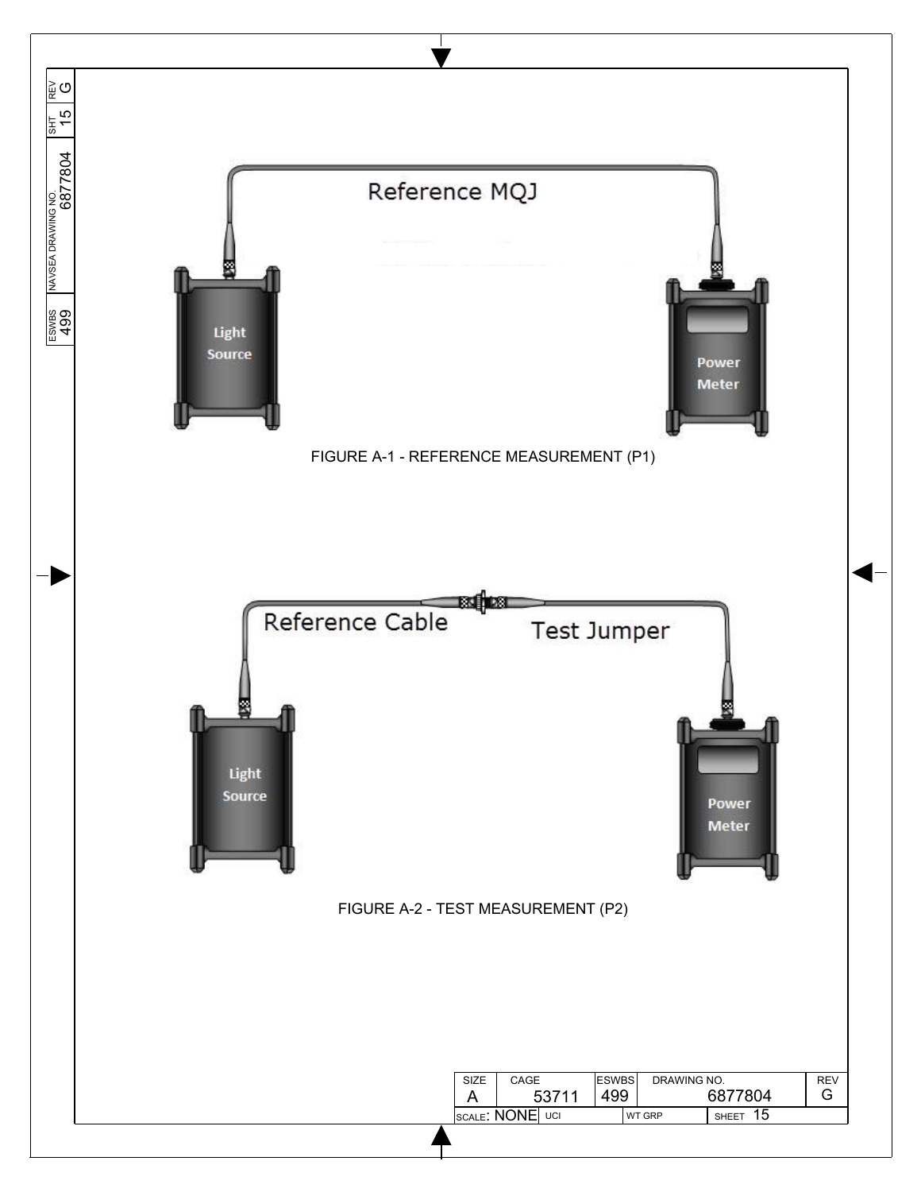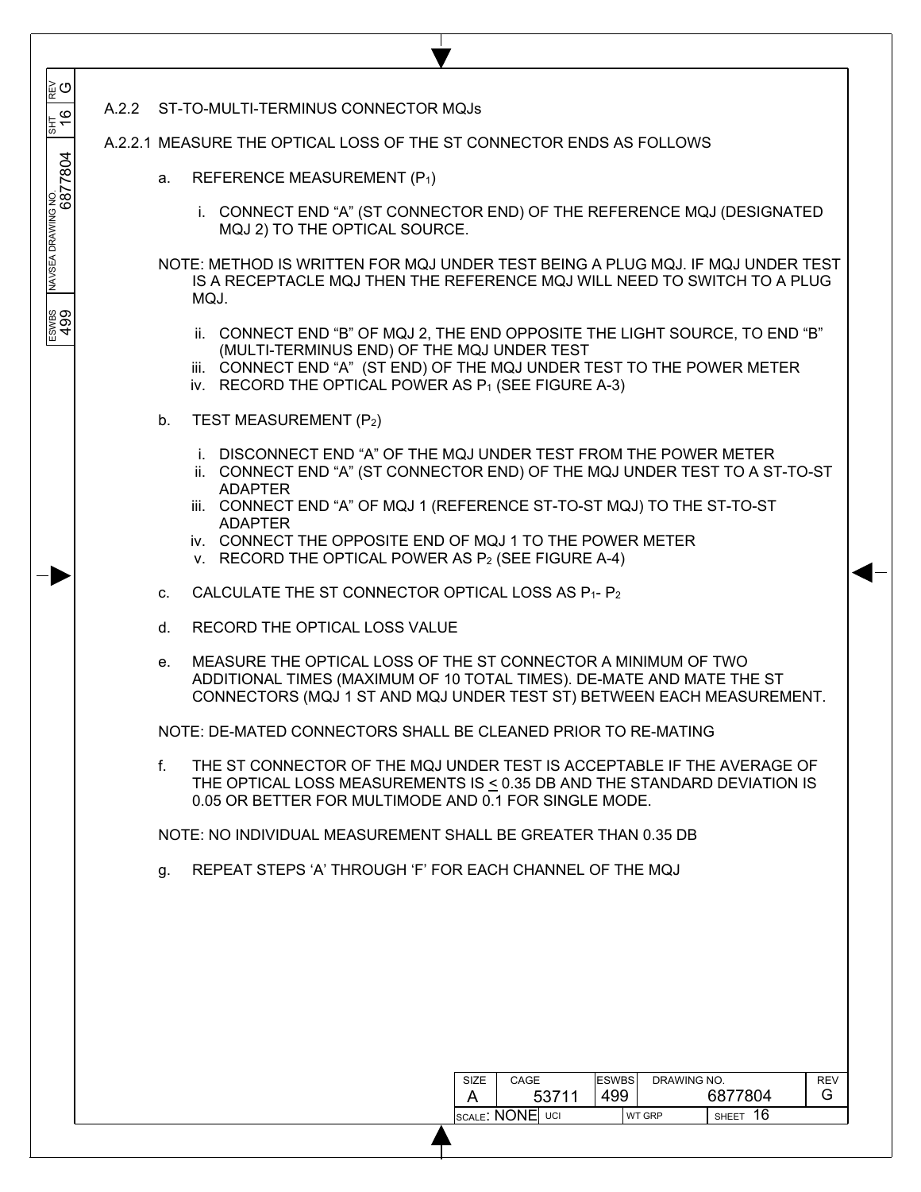| ∣ັ⊯ດ                          |                                                                                                                                                                                                                                                            |  |
|-------------------------------|------------------------------------------------------------------------------------------------------------------------------------------------------------------------------------------------------------------------------------------------------------|--|
| 동<br>19                       | A.2.2 ST-TO-MULTI-TERMINUS CONNECTOR MQJs                                                                                                                                                                                                                  |  |
|                               | A.2.2.1 MEASURE THE OPTICAL LOSS OF THE ST CONNECTOR ENDS AS FOLLOWS                                                                                                                                                                                       |  |
|                               | REFERENCE MEASUREMENT (P1)<br>a.                                                                                                                                                                                                                           |  |
| NAVSEA DRAWING NO.<br>6877804 | i. CONNECT END "A" (ST CONNECTOR END) OF THE REFERENCE MQJ (DESIGNATED<br>MQJ 2) TO THE OPTICAL SOURCE.                                                                                                                                                    |  |
|                               | NOTE: METHOD IS WRITTEN FOR MQJ UNDER TEST BEING A PLUG MQJ. IF MQJ UNDER TEST<br>IS A RECEPTACLE MQJ THEN THE REFERENCE MQJ WILL NEED TO SWITCH TO A PLUG<br>MQJ.                                                                                         |  |
| ESWBS<br>499                  | ii. CONNECT END "B" OF MQJ 2, THE END OPPOSITE THE LIGHT SOURCE, TO END "B"<br>(MULTI-TERMINUS END) OF THE MQJ UNDER TEST<br>iii. CONNECT END "A" (ST END) OF THE MQJ UNDER TEST TO THE POWER METER<br>iv. RECORD THE OPTICAL POWER AS P1 (SEE FIGURE A-3) |  |
|                               | TEST MEASUREMENT (P2)<br>$b_{1}$                                                                                                                                                                                                                           |  |
|                               | i. DISCONNECT END "A" OF THE MQJ UNDER TEST FROM THE POWER METER<br>ii. CONNECT END "A" (ST CONNECTOR END) OF THE MQJ UNDER TEST TO A ST-TO-ST<br><b>ADAPTER</b>                                                                                           |  |
|                               | iii. CONNECT END "A" OF MQJ 1 (REFERENCE ST-TO-ST MQJ) TO THE ST-TO-ST<br><b>ADAPTER</b>                                                                                                                                                                   |  |
|                               | iv. CONNECT THE OPPOSITE END OF MQJ 1 TO THE POWER METER<br>v. RECORD THE OPTICAL POWER AS P <sub>2</sub> (SEE FIGURE A-4)                                                                                                                                 |  |
|                               | CALCULATE THE ST CONNECTOR OPTICAL LOSS AS P1- P2<br>C.                                                                                                                                                                                                    |  |
|                               | RECORD THE OPTICAL LOSS VALUE<br>d.                                                                                                                                                                                                                        |  |
|                               | MEASURE THE OPTICAL LOSS OF THE ST CONNECTOR A MINIMUM OF TWO<br>е.<br>ADDITIONAL TIMES (MAXIMUM OF 10 TOTAL TIMES). DE-MATE AND MATE THE ST<br>CONNECTORS (MQJ 1 ST AND MQJ UNDER TEST ST) BETWEEN EACH MEASUREMENT.                                      |  |
|                               | NOTE: DE-MATED CONNECTORS SHALL BE CLEANED PRIOR TO RE-MATING                                                                                                                                                                                              |  |
|                               | f.<br>THE ST CONNECTOR OF THE MQJ UNDER TEST IS ACCEPTABLE IF THE AVERAGE OF<br>THE OPTICAL LOSS MEASUREMENTS IS $\leq$ 0.35 DB AND THE STANDARD DEVIATION IS<br>0.05 OR BETTER FOR MULTIMODE AND 0.1 FOR SINGLE MODE.                                     |  |
|                               | NOTE: NO INDIVIDUAL MEASUREMENT SHALL BE GREATER THAN 0.35 DB                                                                                                                                                                                              |  |
|                               | REPEAT STEPS 'A' THROUGH 'F' FOR EACH CHANNEL OF THE MOJ<br>g.                                                                                                                                                                                             |  |
|                               |                                                                                                                                                                                                                                                            |  |
|                               |                                                                                                                                                                                                                                                            |  |
|                               |                                                                                                                                                                                                                                                            |  |
|                               |                                                                                                                                                                                                                                                            |  |
|                               |                                                                                                                                                                                                                                                            |  |
|                               | <b>ESWBS</b><br>DRAWING NO.<br>CAGE<br><b>REV</b><br><b>SIZE</b><br>499<br>6877804<br>G<br>53711<br>A<br>SHEET 16<br>SCALE: NONE UCI<br>WT GRP                                                                                                             |  |
|                               |                                                                                                                                                                                                                                                            |  |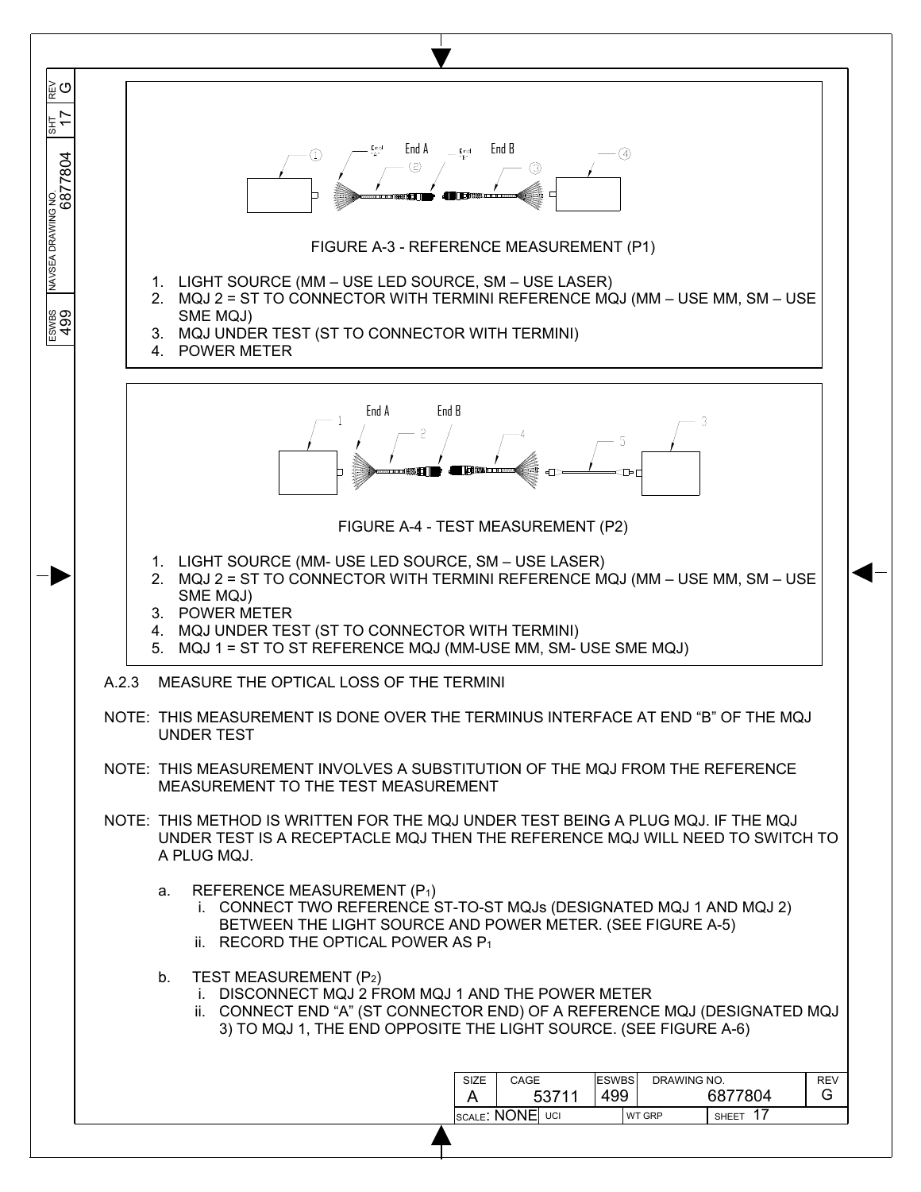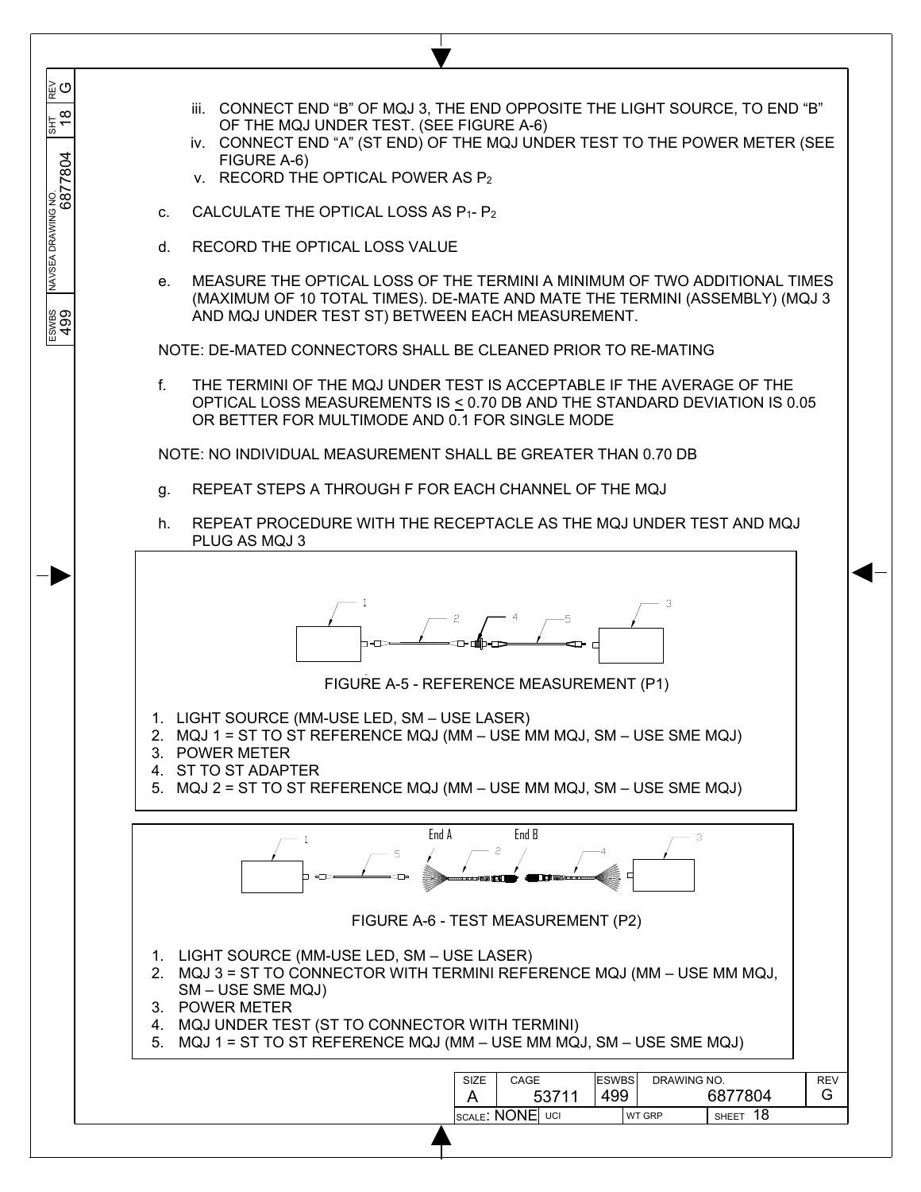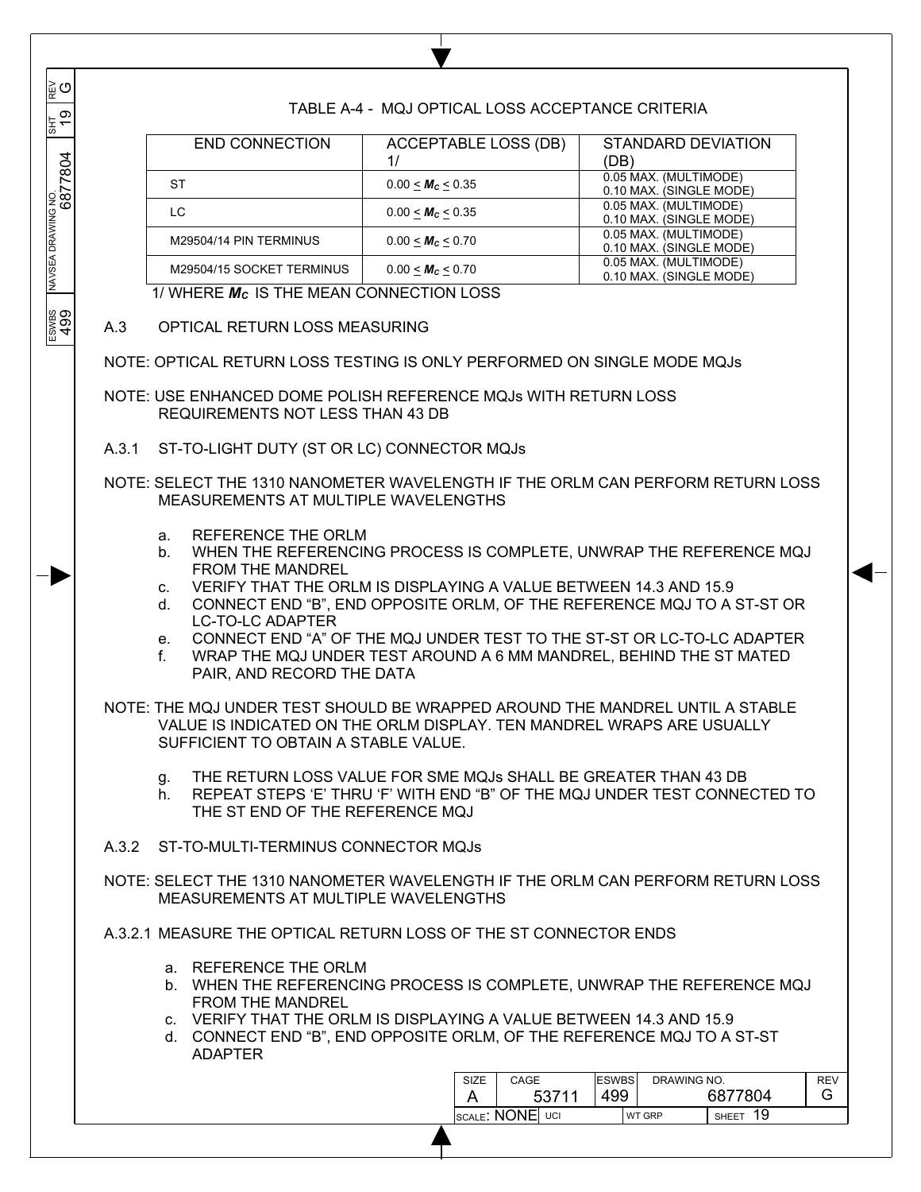TABLE A-4 - MQJ OPTICAL LOSS ACCEPTANCE CRITERIA

| <b>END CONNECTION</b>     | ACCEPTABLE LOSS (DB)         | STANDARD DEVIATION      |
|---------------------------|------------------------------|-------------------------|
|                           | 1/                           | (DB)                    |
| ST                        | $0.00 < M_c < 0.35$          | 0.05 MAX. (MULTIMODE)   |
|                           |                              | 0.10 MAX. (SINGLE MODE) |
| LC                        | $0.00 < M_c < 0.35$          | 0.05 MAX. (MULTIMODE)   |
|                           |                              | 0.10 MAX. (SINGLE MODE) |
| M29504/14 PIN TERMINUS    | 0.00 < M <sub>c</sub> < 0.70 | 0.05 MAX. (MULTIMODE)   |
|                           |                              | 0.10 MAX. (SINGLE MODE) |
| M29504/15 SOCKET TERMINUS | $0.00 < M_c < 0.70$          | 0.05 MAX. (MULTIMODE)   |
|                           |                              | 0.10 MAX. (SINGLE MODE) |

1/ WHERE *ΜC* IS THE MEAN CONNECTION LOSS

## A.3 OPTICAL RETURN LOSS MEASURING

 $\overline{\phantom{a}}$  $\overline{\phantom{a}}$  $\overline{\phantom{a}}$ 

G

 $\frac{1}{2}$ 

 $\overline{\phantom{a}}$  $\overline{\phantom{a}}$ 

 $\overline{\phantom{a}}$ 

ESWBS NAVSEA DRAWING NO. SHT REV 499 6877804 19 697

ESWBS<br>499

NOTE: OPTICAL RETURN LOSS TESTING IS ONLY PERFORMED ON SINGLE MODE MQJs

NOTE: USE ENHANCED DOME POLISH REFERENCE MQJs WITH RETURN LOSS REQUIREMENTS NOT LESS THAN 43 DB

A.3.1 ST-TO-LIGHT DUTY (ST OR LC) CONNECTOR MQJs

NOTE: SELECT THE 1310 NANOMETER WAVELENGTH IF THE ORLM CAN PERFORM RETURN LOSS MEASUREMENTS AT MULTIPLE WAVELENGTHS

- a. REFERENCE THE ORLM
- b. WHEN THE REFERENCING PROCESS IS COMPLETE, UNWRAP THE REFERENCE MQJ FROM THE MANDREL
- c. VERIFY THAT THE ORLM IS DISPLAYING A VALUE BETWEEN 14.3 AND 15.9
- d. CONNECT END "B", END OPPOSITE ORLM, OF THE REFERENCE MQJ TO A ST-ST OR LC-TO-LC ADAPTER
- e. CONNECT END "A" OF THE MQJ UNDER TEST TO THE ST-ST OR LC-TO-LC ADAPTER

f. WRAP THE MQJ UNDER TEST AROUND A 6 MM MANDREL, BEHIND THE ST MATED PAIR, AND RECORD THE DATA

NOTE: THE MQJ UNDER TEST SHOULD BE WRAPPED AROUND THE MANDREL UNTIL A STABLE VALUE IS INDICATED ON THE ORLM DISPLAY. TEN MANDREL WRAPS ARE USUALLY SUFFICIENT TO OBTAIN A STABLE VALUE.

- g. THE RETURN LOSS VALUE FOR SME MQJs SHALL BE GREATER THAN 43 DB
- h. REPEAT STEPS 'E' THRU 'F' WITH END "B" OF THE MQJ UNDER TEST CONNECTED TO THE ST END OF THE REFERENCE MQJ
- A.3.2 ST-TO-MULTI-TERMINUS CONNECTOR MQJs

NOTE: SELECT THE 1310 NANOMETER WAVELENGTH IF THE ORLM CAN PERFORM RETURN LOSS MEASUREMENTS AT MULTIPLE WAVELENGTHS

A.3.2.1 MEASURE THE OPTICAL RETURN LOSS OF THE ST CONNECTOR ENDS

- a. REFERENCE THE ORLM
- b. WHEN THE REFERENCING PROCESS IS COMPLETE, UNWRAP THE REFERENCE MQJ FROM THE MANDREL
- c. VERIFY THAT THE ORLM IS DISPLAYING A VALUE BETWEEN 14.3 AND 15.9
- d. CONNECT END "B", END OPPOSITE ORLM, OF THE REFERENCE MQJ TO A ST-ST ADAPTER

| <b>SIZE</b>     | CAGE  | <b>ESWBS</b><br>DRAWING NO. |               |                    | <b>REV</b> |
|-----------------|-------|-----------------------------|---------------|--------------------|------------|
|                 | 53711 | 499                         |               | 6877804            | G          |
| SCALE: NONE UCI |       |                             | <b>WT GRP</b> | 19<br><b>SHEET</b> |            |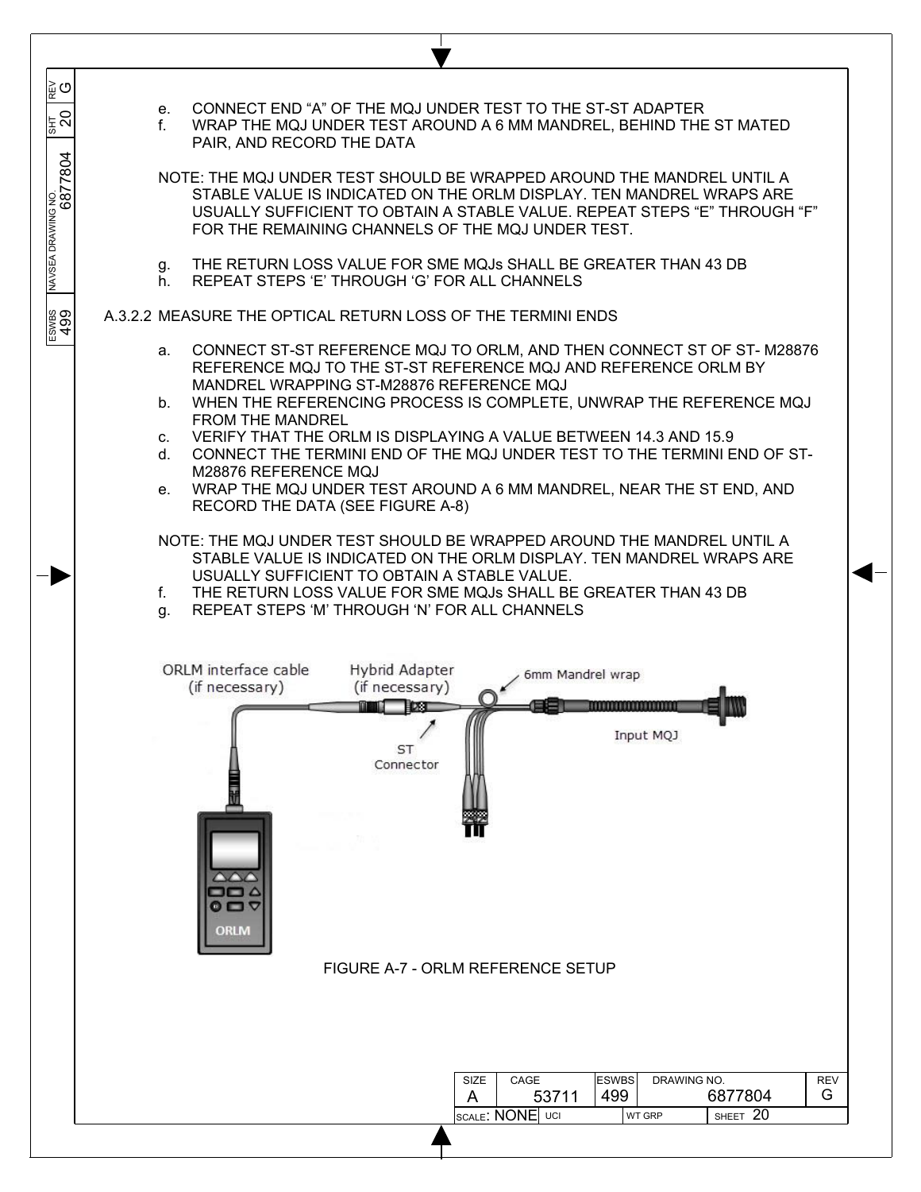